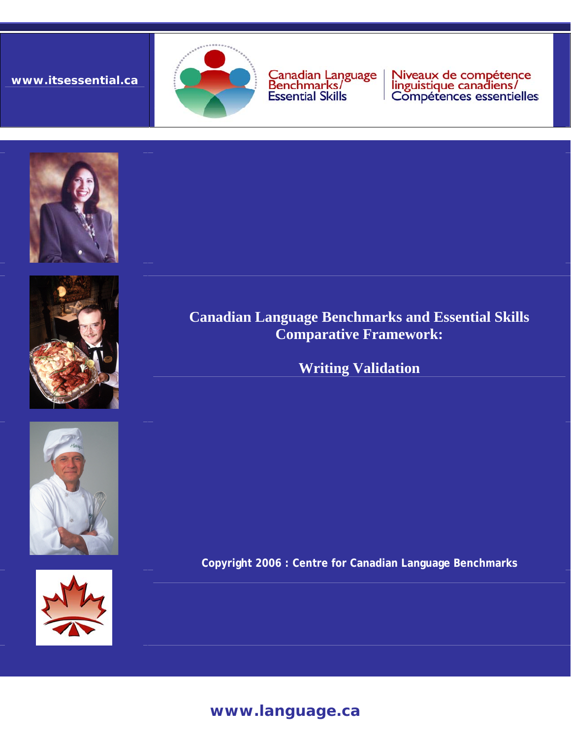#### **www.itsessential.ca**



Canadian Language<br>Benchmarks/<br>Essential Skills

Niveaux de compétence<br>linguistique canadiens/<br>Compétences essentielles





# **Canadian Language Benchmarks and Essential Skills Comparative Framework:**

**Writing Validation**



**Copyright 2006 : Centre for Canadian Language Benchmarks** 

## **www.language.ca**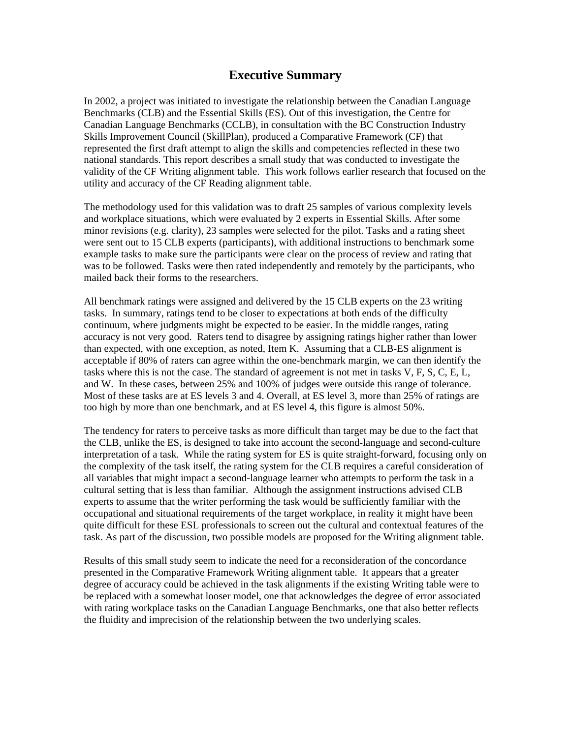### **Executive Summary**

In 2002, a project was initiated to investigate the relationship between the Canadian Language Benchmarks (CLB) and the Essential Skills (ES). Out of this investigation, the Centre for Canadian Language Benchmarks (CCLB), in consultation with the BC Construction Industry Skills Improvement Council (SkillPlan), produced a Comparative Framework (CF) that represented the first draft attempt to align the skills and competencies reflected in these two national standards. This report describes a small study that was conducted to investigate the validity of the CF Writing alignment table. This work follows earlier research that focused on the utility and accuracy of the CF Reading alignment table.

The methodology used for this validation was to draft 25 samples of various complexity levels and workplace situations, which were evaluated by 2 experts in Essential Skills. After some minor revisions (e.g. clarity), 23 samples were selected for the pilot. Tasks and a rating sheet were sent out to 15 CLB experts (participants), with additional instructions to benchmark some example tasks to make sure the participants were clear on the process of review and rating that was to be followed. Tasks were then rated independently and remotely by the participants, who mailed back their forms to the researchers.

All benchmark ratings were assigned and delivered by the 15 CLB experts on the 23 writing tasks. In summary, ratings tend to be closer to expectations at both ends of the difficulty continuum, where judgments might be expected to be easier. In the middle ranges, rating accuracy is not very good. Raters tend to disagree by assigning ratings higher rather than lower than expected, with one exception, as noted, Item K. Assuming that a CLB-ES alignment is acceptable if 80% of raters can agree within the one-benchmark margin, we can then identify the tasks where this is not the case. The standard of agreement is not met in tasks V, F, S, C, E, L, and W. In these cases, between 25% and 100% of judges were outside this range of tolerance. Most of these tasks are at ES levels 3 and 4. Overall, at ES level 3, more than 25% of ratings are too high by more than one benchmark, and at ES level 4, this figure is almost 50%.

The tendency for raters to perceive tasks as more difficult than target may be due to the fact that the CLB, unlike the ES, is designed to take into account the second-language and second-culture interpretation of a task. While the rating system for ES is quite straight-forward, focusing only on the complexity of the task itself, the rating system for the CLB requires a careful consideration of all variables that might impact a second-language learner who attempts to perform the task in a cultural setting that is less than familiar. Although the assignment instructions advised CLB experts to assume that the writer performing the task would be sufficiently familiar with the occupational and situational requirements of the target workplace, in reality it might have been quite difficult for these ESL professionals to screen out the cultural and contextual features of the task. As part of the discussion, two possible models are proposed for the Writing alignment table.

Results of this small study seem to indicate the need for a reconsideration of the concordance presented in the Comparative Framework Writing alignment table. It appears that a greater degree of accuracy could be achieved in the task alignments if the existing Writing table were to be replaced with a somewhat looser model, one that acknowledges the degree of error associated with rating workplace tasks on the Canadian Language Benchmarks, one that also better reflects the fluidity and imprecision of the relationship between the two underlying scales.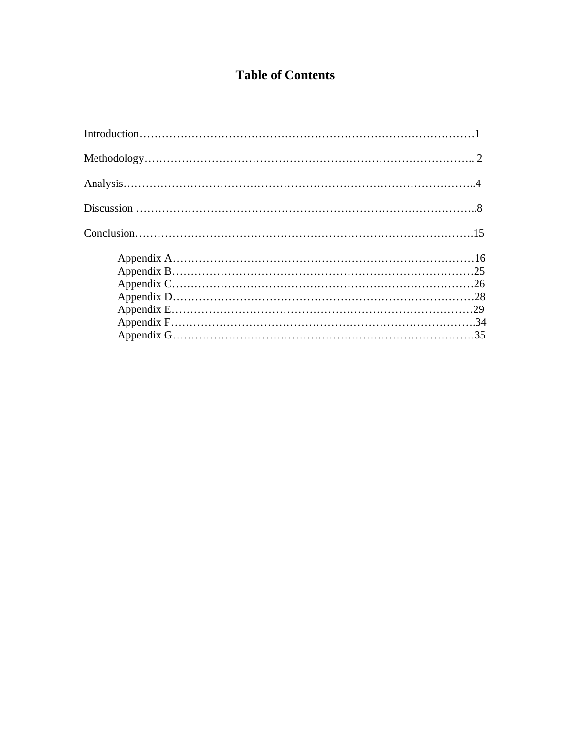## **Table of Contents**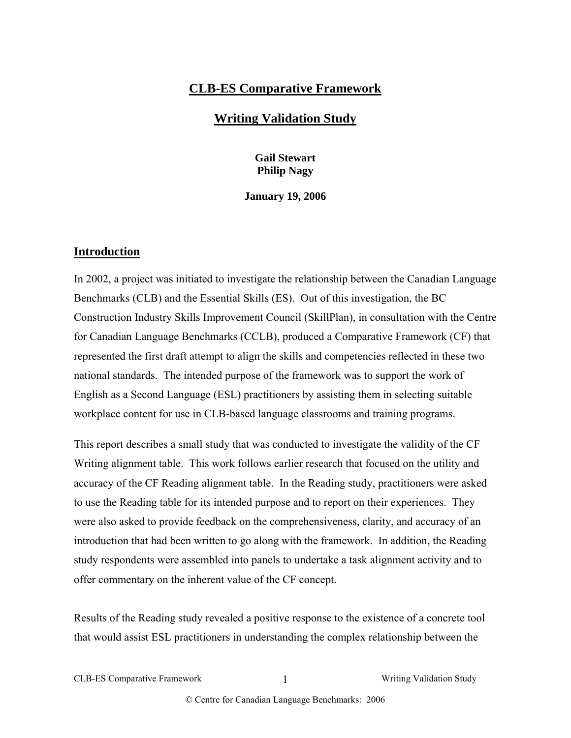## **CLB-ES Comparative Framework**

## **Writing Validation Study**

**Gail Stewart Philip Nagy** 

**January 19, 2006** 

#### **Introduction**

In 2002, a project was initiated to investigate the relationship between the Canadian Language Benchmarks (CLB) and the Essential Skills (ES). Out of this investigation, the BC Construction Industry Skills Improvement Council (SkillPlan), in consultation with the Centre for Canadian Language Benchmarks (CCLB), produced a Comparative Framework (CF) that represented the first draft attempt to align the skills and competencies reflected in these two national standards. The intended purpose of the framework was to support the work of English as a Second Language (ESL) practitioners by assisting them in selecting suitable workplace content for use in CLB-based language classrooms and training programs.

This report describes a small study that was conducted to investigate the validity of the CF Writing alignment table. This work follows earlier research that focused on the utility and accuracy of the CF Reading alignment table. In the Reading study, practitioners were asked to use the Reading table for its intended purpose and to report on their experiences. They were also asked to provide feedback on the comprehensiveness, clarity, and accuracy of an introduction that had been written to go along with the framework. In addition, the Reading study respondents were assembled into panels to undertake a task alignment activity and to offer commentary on the inherent value of the CF concept.

Results of the Reading study revealed a positive response to the existence of a concrete tool that would assist ESL practitioners in understanding the complex relationship between the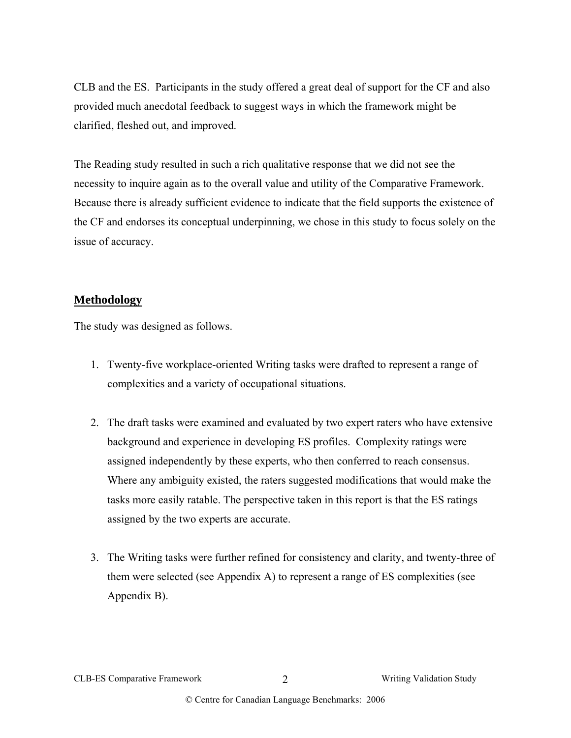CLB and the ES. Participants in the study offered a great deal of support for the CF and also provided much anecdotal feedback to suggest ways in which the framework might be clarified, fleshed out, and improved.

The Reading study resulted in such a rich qualitative response that we did not see the necessity to inquire again as to the overall value and utility of the Comparative Framework. Because there is already sufficient evidence to indicate that the field supports the existence of the CF and endorses its conceptual underpinning, we chose in this study to focus solely on the issue of accuracy.

#### **Methodology**

The study was designed as follows.

- 1. Twenty-five workplace-oriented Writing tasks were drafted to represent a range of complexities and a variety of occupational situations.
- 2. The draft tasks were examined and evaluated by two expert raters who have extensive background and experience in developing ES profiles. Complexity ratings were assigned independently by these experts, who then conferred to reach consensus. Where any ambiguity existed, the raters suggested modifications that would make the tasks more easily ratable. The perspective taken in this report is that the ES ratings assigned by the two experts are accurate.
- 3. The Writing tasks were further refined for consistency and clarity, and twenty-three of them were selected (see Appendix A) to represent a range of ES complexities (see Appendix B).

CLB-ES Comparative Framework Writing Validation Study

2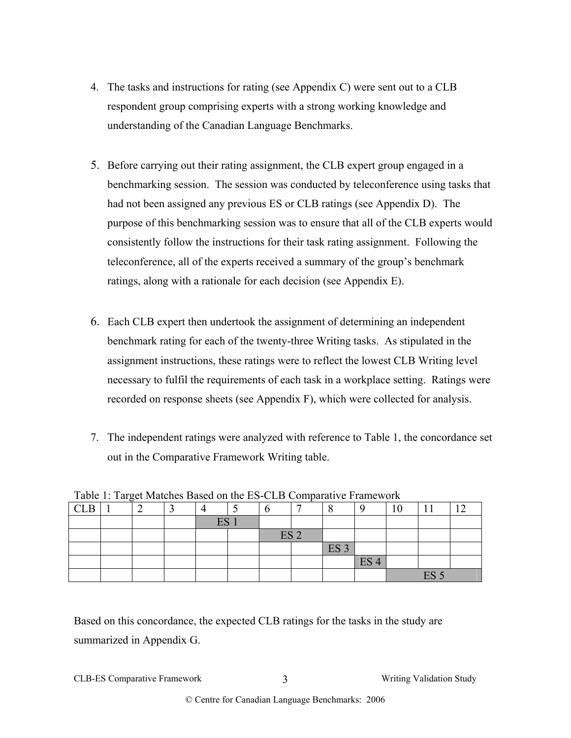- 4. The tasks and instructions for rating (see Appendix C) were sent out to a CLB respondent group comprising experts with a strong working knowledge and understanding of the Canadian Language Benchmarks.
- 5. Before carrying out their rating assignment, the CLB expert group engaged in a benchmarking session. The session was conducted by teleconference using tasks that had not been assigned any previous ES or CLB ratings (see Appendix D). The purpose of this benchmarking session was to ensure that all of the CLB experts would consistently follow the instructions for their task rating assignment. Following the teleconference, all of the experts received a summary of the group's benchmark ratings, along with a rationale for each decision (see Appendix E).
- 6. Each CLB expert then undertook the assignment of determining an independent benchmark rating for each of the twenty-three Writing tasks. As stipulated in the assignment instructions, these ratings were to reflect the lowest CLB Writing level necessary to fulfil the requirements of each task in a workplace setting. Ratings were recorded on response sheets (see Appendix F), which were collected for analysis.
- 7. The independent ratings were analyzed with reference to Table 1, the concordance set out in the Comparative Framework Writing table.

|  |  | Twork It Imperiments Description of the Dollar Competition of Indiana Professor |  |                 |                 |                 |    |      |  |
|--|--|---------------------------------------------------------------------------------|--|-----------------|-----------------|-----------------|----|------|--|
|  |  | ↵                                                                               |  |                 |                 |                 | ٠v | 11   |  |
|  |  | гa<br>UD.                                                                       |  |                 |                 |                 |    |      |  |
|  |  |                                                                                 |  | ES <sub>2</sub> |                 |                 |    |      |  |
|  |  |                                                                                 |  |                 | ES <sub>3</sub> |                 |    |      |  |
|  |  |                                                                                 |  |                 |                 | ES <sub>4</sub> |    |      |  |
|  |  |                                                                                 |  |                 |                 |                 |    | ⊓ רז |  |

Table 1: Target Matches Based on the ES-CLB Comparative Framework

Based on this concordance, the expected CLB ratings for the tasks in the study are summarized in Appendix G.

3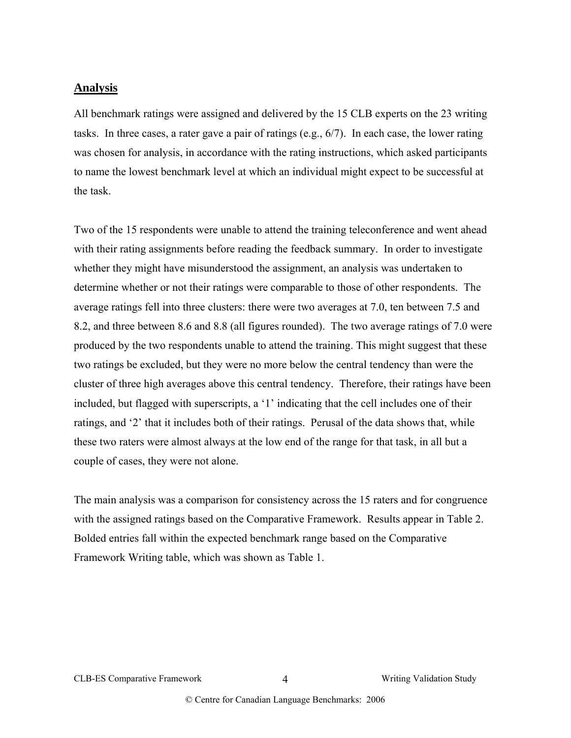#### **Analysis**

All benchmark ratings were assigned and delivered by the 15 CLB experts on the 23 writing tasks. In three cases, a rater gave a pair of ratings (e.g., 6/7). In each case, the lower rating was chosen for analysis, in accordance with the rating instructions, which asked participants to name the lowest benchmark level at which an individual might expect to be successful at the task.

Two of the 15 respondents were unable to attend the training teleconference and went ahead with their rating assignments before reading the feedback summary. In order to investigate whether they might have misunderstood the assignment, an analysis was undertaken to determine whether or not their ratings were comparable to those of other respondents. The average ratings fell into three clusters: there were two averages at 7.0, ten between 7.5 and 8.2, and three between 8.6 and 8.8 (all figures rounded). The two average ratings of 7.0 were produced by the two respondents unable to attend the training. This might suggest that these two ratings be excluded, but they were no more below the central tendency than were the cluster of three high averages above this central tendency. Therefore, their ratings have been included, but flagged with superscripts, a '1' indicating that the cell includes one of their ratings, and '2' that it includes both of their ratings. Perusal of the data shows that, while these two raters were almost always at the low end of the range for that task, in all but a couple of cases, they were not alone.

The main analysis was a comparison for consistency across the 15 raters and for congruence with the assigned ratings based on the Comparative Framework. Results appear in Table 2. Bolded entries fall within the expected benchmark range based on the Comparative Framework Writing table, which was shown as Table 1.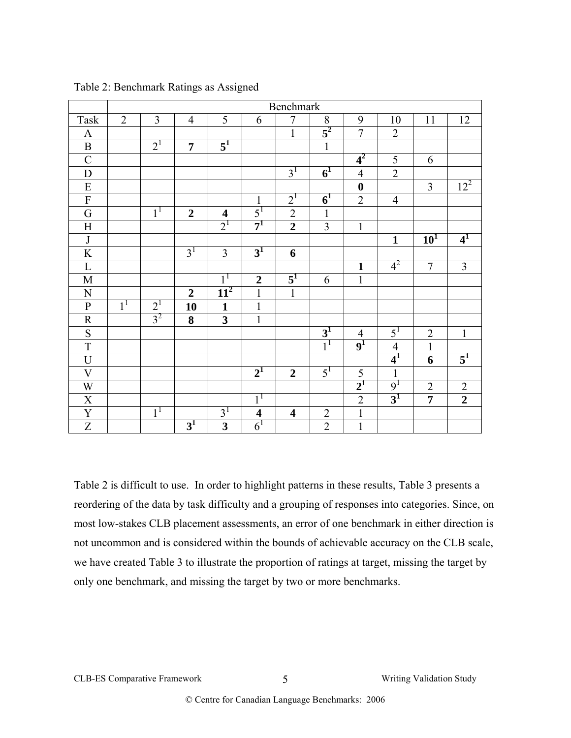|                             |                |                |                  |                         |                         | Benchmark               |                |                  |                |                 |                |
|-----------------------------|----------------|----------------|------------------|-------------------------|-------------------------|-------------------------|----------------|------------------|----------------|-----------------|----------------|
| $\operatorname{{\bf Task}}$ | $\overline{2}$ | $\overline{3}$ | $\overline{4}$   | 5                       | 6                       | $\overline{7}$          | 8              | 9                | 10             | 11              | 12             |
| $\mathbf{A}$                |                |                |                  |                         |                         | $\mathbf{1}$            | $5^2$          | $\overline{7}$   | $\overline{2}$ |                 |                |
| $\, {\bf B}$                |                | $2^1$          | $\overline{7}$   | $5^1$                   |                         |                         | $\mathbf{1}$   |                  |                |                 |                |
| $\mathcal{C}$               |                |                |                  |                         |                         |                         |                | $4^2$            | 5              | 6               |                |
| ${\bf D}$                   |                |                |                  |                         |                         | 3 <sup>1</sup>          | $6^1$          | $\overline{4}$   | $\overline{2}$ |                 |                |
| ${\bf E}$                   |                |                |                  |                         |                         |                         |                | $\boldsymbol{0}$ |                | 3               | $12^{2}$       |
| $\mathbf F$                 |                |                |                  |                         | $\mathbf{1}$            | $2^1$                   | $6^1$          | $\overline{2}$   | $\overline{4}$ |                 |                |
| G                           |                | 1 <sup>1</sup> | $\boldsymbol{2}$ | $\overline{\mathbf{4}}$ | $5^1$                   | $\overline{2}$          | $\mathbf{1}$   |                  |                |                 |                |
| $\rm H$                     |                |                |                  | $2^{1}$                 | $\overline{7}^1$        | $\overline{2}$          | $\overline{3}$ | $\mathbf{1}$     |                |                 |                |
| $\bf J$                     |                |                |                  |                         |                         |                         |                |                  | $\mathbf{1}$   | 10 <sup>1</sup> | $4^1$          |
| $\overline{\text{K}}$       |                |                | $3^1$            | $\overline{3}$          | $3^1$                   | 6                       |                |                  |                |                 |                |
| L                           |                |                |                  |                         |                         |                         |                | $\mathbf{1}$     | $4^2$          | $\overline{7}$  | $\overline{3}$ |
| M                           |                |                |                  | $1^1$                   | $\overline{2}$          | $5^1$                   | 6              | $\mathbf{1}$     |                |                 |                |
| ${\bf N}$                   |                |                | $\overline{2}$   | 11 <sup>2</sup>         | $\mathbf{1}$            | $\mathbf{1}$            |                |                  |                |                 |                |
| $\mathbf{P}$                | 1 <sup>1</sup> | $2^1$          | 10               | $\mathbf{1}$            | $\mathbf{1}$            |                         |                |                  |                |                 |                |
| ${\bf R}$                   |                | 3 <sup>2</sup> | 8                | 3                       | $\mathbf{1}$            |                         |                |                  |                |                 |                |
| $\overline{S}$              |                |                |                  |                         |                         |                         | $3^1$          | $\overline{4}$   | $5^1$          | $\overline{2}$  | $\mathbf{1}$   |
| $\overline{T}$              |                |                |                  |                         |                         |                         | $1^1$          | 9 <sup>1</sup>   | $\overline{4}$ | $\mathbf{1}$    |                |
| $\mathbf U$                 |                |                |                  |                         |                         |                         |                |                  | $4^1$          | 6               | $5^1$          |
| $\overline{\text{V}}$       |                |                |                  |                         | $2^1$                   | $\overline{2}$          | $5^1$          | 5                | $\mathbf{1}$   |                 |                |
| $\ensuremath{\text{W}}$     |                |                |                  |                         |                         |                         |                | $2^1$            | 9 <sup>1</sup> | $\overline{2}$  | $\sqrt{2}$     |
| $\overline{X}$              |                |                |                  |                         | $1^1$                   |                         |                | $\overline{2}$   | $3^1$          | $\overline{7}$  | $\overline{2}$ |
| $\overline{\mathbf{Y}}$     |                | $1^1$          |                  | 3 <sup>1</sup>          | $\overline{\mathbf{4}}$ | $\overline{\mathbf{4}}$ | $\overline{2}$ | $\mathbf{1}$     |                |                 |                |
| $\overline{Z}$              |                |                | 3 <sup>1</sup>   | $\overline{3}$          | $6^1$                   |                         | $\overline{2}$ | $\mathbf{1}$     |                |                 |                |

Table 2: Benchmark Ratings as Assigned

Table 2 is difficult to use. In order to highlight patterns in these results, Table 3 presents a reordering of the data by task difficulty and a grouping of responses into categories. Since, on most low-stakes CLB placement assessments, an error of one benchmark in either direction is not uncommon and is considered within the bounds of achievable accuracy on the CLB scale, we have created Table 3 to illustrate the proportion of ratings at target, missing the target by only one benchmark, and missing the target by two or more benchmarks.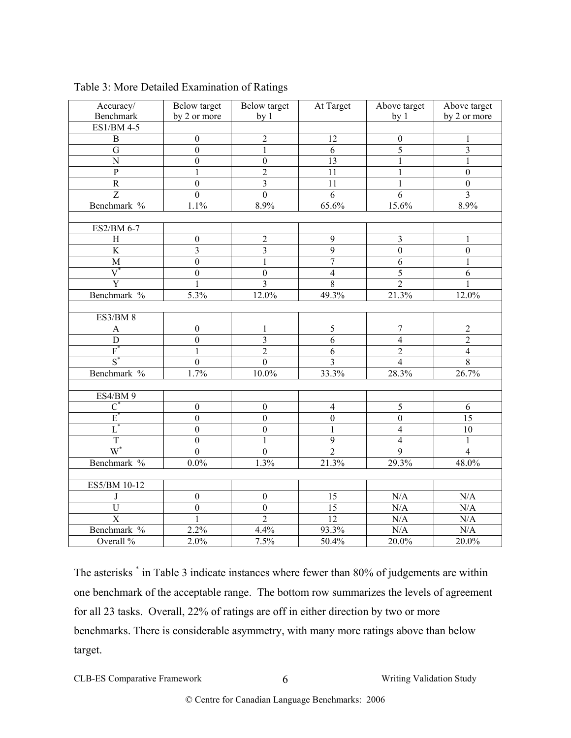| Accuracy/<br><b>Below</b> target<br><b>Below</b> target<br>At Target<br>Above target<br>Above target<br>Benchmark<br>by 2 or more<br>by 2 or more<br>by <sub>1</sub><br>by <sub>1</sub><br>ES1/BM 4-5<br>$\overline{2}$<br>$\overline{12}$<br>$\, {\bf B}$<br>$\boldsymbol{0}$<br>$\boldsymbol{0}$<br>5<br>$\overline{3}$<br>$\overline{G}$<br>$\overline{0}$<br>$\overline{6}$<br>$\mathbf{1}$<br>$\overline{N}$<br>$\overline{0}$<br>$\overline{13}$<br>$\boldsymbol{0}$<br>1<br>$\mathbf{1}$<br>$\overline{P}$<br>$\overline{2}$<br>$\overline{0}$<br>1<br>11<br>1<br>3<br>R<br>$\boldsymbol{0}$<br>$\mathbf{0}$<br>11<br>$\overline{3}$<br>$\overline{Z}$<br>$\overline{0}$<br>$\boldsymbol{0}$<br>6<br>6<br>1.1%<br>65.6%<br>15.6%<br>8.9%<br>Benchmark %<br>8.9%<br>ES2/BM 6-7<br>$\overline{\mathbf{3}}$<br>$\overline{2}$<br>9<br>H<br>$\boldsymbol{0}$<br>1<br>$\overline{\mathbf{3}}$<br>$\overline{0}$<br>$\bf K$<br>$\overline{\mathbf{3}}$<br>9<br>$\boldsymbol{0}$<br>$\boldsymbol{0}$<br>$\overline{7}$<br>M<br>6<br>1<br>1<br>$\overline{\mathrm{V}}^*$<br>$\overline{5}$<br>$\overline{0}$<br>$\boldsymbol{0}$<br>4<br>6<br>$\overline{2}$<br>$\overline{Y}$<br>$\overline{3}$<br>8<br>1<br>21.3%<br>Benchmark %<br>5.3%<br>12.0%<br>49.3%<br>12.0%<br>ES3/BM 8<br>$\boldsymbol{0}$<br>5<br>7<br>$\overline{2}$<br>A<br>1<br>$\overline{2}$<br>3<br>$\mathbf D$<br>$\boldsymbol{0}$<br>6<br>$\overline{4}$<br>$\overline{\mathrm{F}}^*$<br>$\overline{c}$<br>$\overline{2}$<br>1<br>$\overline{4}$<br>6<br>$S^*$<br>$\overline{3}$<br>$\overline{0}$<br>$\overline{4}$<br>$\overline{8}$<br>$\boldsymbol{0}$<br>Benchmark %<br>1.7%<br>$10.0\%$<br>33.3%<br>28.3%<br>26.7%<br>ES4/BM 9<br>$\overline{C}^*$<br>$\boldsymbol{0}$<br>$\boldsymbol{0}$<br>5<br>$\overline{4}$<br>6<br>E<br>$\boldsymbol{0}$<br>$\boldsymbol{0}$<br>15<br>$\boldsymbol{0}$<br>$\boldsymbol{0}$<br>$\overline{\mathrm{L}}$<br>$\boldsymbol{0}$<br>$\boldsymbol{0}$<br>$\overline{4}$<br>10<br>1<br>$\mathbf T$<br>$\mathbf{0}$<br>$\overline{4}$<br>9<br>$\overline{W}$<br>$\overline{2}$<br>$\overline{9}$<br>$\boldsymbol{0}$<br>$\overline{4}$<br>$\boldsymbol{0}$<br>Benchmark %<br>21.3%<br>48.0%<br>$0.0\%$<br>1.3%<br>29.3%<br>ES5/BM 10-12<br>N/A<br>N/A<br>$\boldsymbol{0}$<br>$\boldsymbol{0}$<br>15<br>J<br>15<br>N/A<br>$\boldsymbol{0}$<br>$\boldsymbol{0}$<br>N/A<br>U<br>$\overline{X}$<br>$\overline{2}$<br>12<br>$\mathbf{1}$<br>N/A<br>N/A<br>Benchmark %<br>2.2%<br>4.4%<br>N/A<br>93.3%<br>N/A<br>50.4%<br>20.0%<br>20.0%<br>Overall %<br>2.0%<br>7.5% |  |  |  |
|-----------------------------------------------------------------------------------------------------------------------------------------------------------------------------------------------------------------------------------------------------------------------------------------------------------------------------------------------------------------------------------------------------------------------------------------------------------------------------------------------------------------------------------------------------------------------------------------------------------------------------------------------------------------------------------------------------------------------------------------------------------------------------------------------------------------------------------------------------------------------------------------------------------------------------------------------------------------------------------------------------------------------------------------------------------------------------------------------------------------------------------------------------------------------------------------------------------------------------------------------------------------------------------------------------------------------------------------------------------------------------------------------------------------------------------------------------------------------------------------------------------------------------------------------------------------------------------------------------------------------------------------------------------------------------------------------------------------------------------------------------------------------------------------------------------------------------------------------------------------------------------------------------------------------------------------------------------------------------------------------------------------------------------------------------------------------------------------------------------------------------------------------------------------------------------------------------------------------------------------------------------------------------------------------------------------------------------------------------------------------------------------------------------------------------------------------------------------------------------------------------------------------------------------------------------------------|--|--|--|
|                                                                                                                                                                                                                                                                                                                                                                                                                                                                                                                                                                                                                                                                                                                                                                                                                                                                                                                                                                                                                                                                                                                                                                                                                                                                                                                                                                                                                                                                                                                                                                                                                                                                                                                                                                                                                                                                                                                                                                                                                                                                                                                                                                                                                                                                                                                                                                                                                                                                                                                                                                       |  |  |  |
|                                                                                                                                                                                                                                                                                                                                                                                                                                                                                                                                                                                                                                                                                                                                                                                                                                                                                                                                                                                                                                                                                                                                                                                                                                                                                                                                                                                                                                                                                                                                                                                                                                                                                                                                                                                                                                                                                                                                                                                                                                                                                                                                                                                                                                                                                                                                                                                                                                                                                                                                                                       |  |  |  |
|                                                                                                                                                                                                                                                                                                                                                                                                                                                                                                                                                                                                                                                                                                                                                                                                                                                                                                                                                                                                                                                                                                                                                                                                                                                                                                                                                                                                                                                                                                                                                                                                                                                                                                                                                                                                                                                                                                                                                                                                                                                                                                                                                                                                                                                                                                                                                                                                                                                                                                                                                                       |  |  |  |
|                                                                                                                                                                                                                                                                                                                                                                                                                                                                                                                                                                                                                                                                                                                                                                                                                                                                                                                                                                                                                                                                                                                                                                                                                                                                                                                                                                                                                                                                                                                                                                                                                                                                                                                                                                                                                                                                                                                                                                                                                                                                                                                                                                                                                                                                                                                                                                                                                                                                                                                                                                       |  |  |  |
|                                                                                                                                                                                                                                                                                                                                                                                                                                                                                                                                                                                                                                                                                                                                                                                                                                                                                                                                                                                                                                                                                                                                                                                                                                                                                                                                                                                                                                                                                                                                                                                                                                                                                                                                                                                                                                                                                                                                                                                                                                                                                                                                                                                                                                                                                                                                                                                                                                                                                                                                                                       |  |  |  |
|                                                                                                                                                                                                                                                                                                                                                                                                                                                                                                                                                                                                                                                                                                                                                                                                                                                                                                                                                                                                                                                                                                                                                                                                                                                                                                                                                                                                                                                                                                                                                                                                                                                                                                                                                                                                                                                                                                                                                                                                                                                                                                                                                                                                                                                                                                                                                                                                                                                                                                                                                                       |  |  |  |
|                                                                                                                                                                                                                                                                                                                                                                                                                                                                                                                                                                                                                                                                                                                                                                                                                                                                                                                                                                                                                                                                                                                                                                                                                                                                                                                                                                                                                                                                                                                                                                                                                                                                                                                                                                                                                                                                                                                                                                                                                                                                                                                                                                                                                                                                                                                                                                                                                                                                                                                                                                       |  |  |  |
|                                                                                                                                                                                                                                                                                                                                                                                                                                                                                                                                                                                                                                                                                                                                                                                                                                                                                                                                                                                                                                                                                                                                                                                                                                                                                                                                                                                                                                                                                                                                                                                                                                                                                                                                                                                                                                                                                                                                                                                                                                                                                                                                                                                                                                                                                                                                                                                                                                                                                                                                                                       |  |  |  |
|                                                                                                                                                                                                                                                                                                                                                                                                                                                                                                                                                                                                                                                                                                                                                                                                                                                                                                                                                                                                                                                                                                                                                                                                                                                                                                                                                                                                                                                                                                                                                                                                                                                                                                                                                                                                                                                                                                                                                                                                                                                                                                                                                                                                                                                                                                                                                                                                                                                                                                                                                                       |  |  |  |
|                                                                                                                                                                                                                                                                                                                                                                                                                                                                                                                                                                                                                                                                                                                                                                                                                                                                                                                                                                                                                                                                                                                                                                                                                                                                                                                                                                                                                                                                                                                                                                                                                                                                                                                                                                                                                                                                                                                                                                                                                                                                                                                                                                                                                                                                                                                                                                                                                                                                                                                                                                       |  |  |  |
|                                                                                                                                                                                                                                                                                                                                                                                                                                                                                                                                                                                                                                                                                                                                                                                                                                                                                                                                                                                                                                                                                                                                                                                                                                                                                                                                                                                                                                                                                                                                                                                                                                                                                                                                                                                                                                                                                                                                                                                                                                                                                                                                                                                                                                                                                                                                                                                                                                                                                                                                                                       |  |  |  |
|                                                                                                                                                                                                                                                                                                                                                                                                                                                                                                                                                                                                                                                                                                                                                                                                                                                                                                                                                                                                                                                                                                                                                                                                                                                                                                                                                                                                                                                                                                                                                                                                                                                                                                                                                                                                                                                                                                                                                                                                                                                                                                                                                                                                                                                                                                                                                                                                                                                                                                                                                                       |  |  |  |
|                                                                                                                                                                                                                                                                                                                                                                                                                                                                                                                                                                                                                                                                                                                                                                                                                                                                                                                                                                                                                                                                                                                                                                                                                                                                                                                                                                                                                                                                                                                                                                                                                                                                                                                                                                                                                                                                                                                                                                                                                                                                                                                                                                                                                                                                                                                                                                                                                                                                                                                                                                       |  |  |  |
|                                                                                                                                                                                                                                                                                                                                                                                                                                                                                                                                                                                                                                                                                                                                                                                                                                                                                                                                                                                                                                                                                                                                                                                                                                                                                                                                                                                                                                                                                                                                                                                                                                                                                                                                                                                                                                                                                                                                                                                                                                                                                                                                                                                                                                                                                                                                                                                                                                                                                                                                                                       |  |  |  |
|                                                                                                                                                                                                                                                                                                                                                                                                                                                                                                                                                                                                                                                                                                                                                                                                                                                                                                                                                                                                                                                                                                                                                                                                                                                                                                                                                                                                                                                                                                                                                                                                                                                                                                                                                                                                                                                                                                                                                                                                                                                                                                                                                                                                                                                                                                                                                                                                                                                                                                                                                                       |  |  |  |
|                                                                                                                                                                                                                                                                                                                                                                                                                                                                                                                                                                                                                                                                                                                                                                                                                                                                                                                                                                                                                                                                                                                                                                                                                                                                                                                                                                                                                                                                                                                                                                                                                                                                                                                                                                                                                                                                                                                                                                                                                                                                                                                                                                                                                                                                                                                                                                                                                                                                                                                                                                       |  |  |  |
|                                                                                                                                                                                                                                                                                                                                                                                                                                                                                                                                                                                                                                                                                                                                                                                                                                                                                                                                                                                                                                                                                                                                                                                                                                                                                                                                                                                                                                                                                                                                                                                                                                                                                                                                                                                                                                                                                                                                                                                                                                                                                                                                                                                                                                                                                                                                                                                                                                                                                                                                                                       |  |  |  |
|                                                                                                                                                                                                                                                                                                                                                                                                                                                                                                                                                                                                                                                                                                                                                                                                                                                                                                                                                                                                                                                                                                                                                                                                                                                                                                                                                                                                                                                                                                                                                                                                                                                                                                                                                                                                                                                                                                                                                                                                                                                                                                                                                                                                                                                                                                                                                                                                                                                                                                                                                                       |  |  |  |
|                                                                                                                                                                                                                                                                                                                                                                                                                                                                                                                                                                                                                                                                                                                                                                                                                                                                                                                                                                                                                                                                                                                                                                                                                                                                                                                                                                                                                                                                                                                                                                                                                                                                                                                                                                                                                                                                                                                                                                                                                                                                                                                                                                                                                                                                                                                                                                                                                                                                                                                                                                       |  |  |  |
|                                                                                                                                                                                                                                                                                                                                                                                                                                                                                                                                                                                                                                                                                                                                                                                                                                                                                                                                                                                                                                                                                                                                                                                                                                                                                                                                                                                                                                                                                                                                                                                                                                                                                                                                                                                                                                                                                                                                                                                                                                                                                                                                                                                                                                                                                                                                                                                                                                                                                                                                                                       |  |  |  |
|                                                                                                                                                                                                                                                                                                                                                                                                                                                                                                                                                                                                                                                                                                                                                                                                                                                                                                                                                                                                                                                                                                                                                                                                                                                                                                                                                                                                                                                                                                                                                                                                                                                                                                                                                                                                                                                                                                                                                                                                                                                                                                                                                                                                                                                                                                                                                                                                                                                                                                                                                                       |  |  |  |
|                                                                                                                                                                                                                                                                                                                                                                                                                                                                                                                                                                                                                                                                                                                                                                                                                                                                                                                                                                                                                                                                                                                                                                                                                                                                                                                                                                                                                                                                                                                                                                                                                                                                                                                                                                                                                                                                                                                                                                                                                                                                                                                                                                                                                                                                                                                                                                                                                                                                                                                                                                       |  |  |  |
|                                                                                                                                                                                                                                                                                                                                                                                                                                                                                                                                                                                                                                                                                                                                                                                                                                                                                                                                                                                                                                                                                                                                                                                                                                                                                                                                                                                                                                                                                                                                                                                                                                                                                                                                                                                                                                                                                                                                                                                                                                                                                                                                                                                                                                                                                                                                                                                                                                                                                                                                                                       |  |  |  |
|                                                                                                                                                                                                                                                                                                                                                                                                                                                                                                                                                                                                                                                                                                                                                                                                                                                                                                                                                                                                                                                                                                                                                                                                                                                                                                                                                                                                                                                                                                                                                                                                                                                                                                                                                                                                                                                                                                                                                                                                                                                                                                                                                                                                                                                                                                                                                                                                                                                                                                                                                                       |  |  |  |
|                                                                                                                                                                                                                                                                                                                                                                                                                                                                                                                                                                                                                                                                                                                                                                                                                                                                                                                                                                                                                                                                                                                                                                                                                                                                                                                                                                                                                                                                                                                                                                                                                                                                                                                                                                                                                                                                                                                                                                                                                                                                                                                                                                                                                                                                                                                                                                                                                                                                                                                                                                       |  |  |  |
|                                                                                                                                                                                                                                                                                                                                                                                                                                                                                                                                                                                                                                                                                                                                                                                                                                                                                                                                                                                                                                                                                                                                                                                                                                                                                                                                                                                                                                                                                                                                                                                                                                                                                                                                                                                                                                                                                                                                                                                                                                                                                                                                                                                                                                                                                                                                                                                                                                                                                                                                                                       |  |  |  |
|                                                                                                                                                                                                                                                                                                                                                                                                                                                                                                                                                                                                                                                                                                                                                                                                                                                                                                                                                                                                                                                                                                                                                                                                                                                                                                                                                                                                                                                                                                                                                                                                                                                                                                                                                                                                                                                                                                                                                                                                                                                                                                                                                                                                                                                                                                                                                                                                                                                                                                                                                                       |  |  |  |
|                                                                                                                                                                                                                                                                                                                                                                                                                                                                                                                                                                                                                                                                                                                                                                                                                                                                                                                                                                                                                                                                                                                                                                                                                                                                                                                                                                                                                                                                                                                                                                                                                                                                                                                                                                                                                                                                                                                                                                                                                                                                                                                                                                                                                                                                                                                                                                                                                                                                                                                                                                       |  |  |  |
|                                                                                                                                                                                                                                                                                                                                                                                                                                                                                                                                                                                                                                                                                                                                                                                                                                                                                                                                                                                                                                                                                                                                                                                                                                                                                                                                                                                                                                                                                                                                                                                                                                                                                                                                                                                                                                                                                                                                                                                                                                                                                                                                                                                                                                                                                                                                                                                                                                                                                                                                                                       |  |  |  |
|                                                                                                                                                                                                                                                                                                                                                                                                                                                                                                                                                                                                                                                                                                                                                                                                                                                                                                                                                                                                                                                                                                                                                                                                                                                                                                                                                                                                                                                                                                                                                                                                                                                                                                                                                                                                                                                                                                                                                                                                                                                                                                                                                                                                                                                                                                                                                                                                                                                                                                                                                                       |  |  |  |
|                                                                                                                                                                                                                                                                                                                                                                                                                                                                                                                                                                                                                                                                                                                                                                                                                                                                                                                                                                                                                                                                                                                                                                                                                                                                                                                                                                                                                                                                                                                                                                                                                                                                                                                                                                                                                                                                                                                                                                                                                                                                                                                                                                                                                                                                                                                                                                                                                                                                                                                                                                       |  |  |  |
|                                                                                                                                                                                                                                                                                                                                                                                                                                                                                                                                                                                                                                                                                                                                                                                                                                                                                                                                                                                                                                                                                                                                                                                                                                                                                                                                                                                                                                                                                                                                                                                                                                                                                                                                                                                                                                                                                                                                                                                                                                                                                                                                                                                                                                                                                                                                                                                                                                                                                                                                                                       |  |  |  |
|                                                                                                                                                                                                                                                                                                                                                                                                                                                                                                                                                                                                                                                                                                                                                                                                                                                                                                                                                                                                                                                                                                                                                                                                                                                                                                                                                                                                                                                                                                                                                                                                                                                                                                                                                                                                                                                                                                                                                                                                                                                                                                                                                                                                                                                                                                                                                                                                                                                                                                                                                                       |  |  |  |
|                                                                                                                                                                                                                                                                                                                                                                                                                                                                                                                                                                                                                                                                                                                                                                                                                                                                                                                                                                                                                                                                                                                                                                                                                                                                                                                                                                                                                                                                                                                                                                                                                                                                                                                                                                                                                                                                                                                                                                                                                                                                                                                                                                                                                                                                                                                                                                                                                                                                                                                                                                       |  |  |  |
|                                                                                                                                                                                                                                                                                                                                                                                                                                                                                                                                                                                                                                                                                                                                                                                                                                                                                                                                                                                                                                                                                                                                                                                                                                                                                                                                                                                                                                                                                                                                                                                                                                                                                                                                                                                                                                                                                                                                                                                                                                                                                                                                                                                                                                                                                                                                                                                                                                                                                                                                                                       |  |  |  |
|                                                                                                                                                                                                                                                                                                                                                                                                                                                                                                                                                                                                                                                                                                                                                                                                                                                                                                                                                                                                                                                                                                                                                                                                                                                                                                                                                                                                                                                                                                                                                                                                                                                                                                                                                                                                                                                                                                                                                                                                                                                                                                                                                                                                                                                                                                                                                                                                                                                                                                                                                                       |  |  |  |
|                                                                                                                                                                                                                                                                                                                                                                                                                                                                                                                                                                                                                                                                                                                                                                                                                                                                                                                                                                                                                                                                                                                                                                                                                                                                                                                                                                                                                                                                                                                                                                                                                                                                                                                                                                                                                                                                                                                                                                                                                                                                                                                                                                                                                                                                                                                                                                                                                                                                                                                                                                       |  |  |  |
|                                                                                                                                                                                                                                                                                                                                                                                                                                                                                                                                                                                                                                                                                                                                                                                                                                                                                                                                                                                                                                                                                                                                                                                                                                                                                                                                                                                                                                                                                                                                                                                                                                                                                                                                                                                                                                                                                                                                                                                                                                                                                                                                                                                                                                                                                                                                                                                                                                                                                                                                                                       |  |  |  |
|                                                                                                                                                                                                                                                                                                                                                                                                                                                                                                                                                                                                                                                                                                                                                                                                                                                                                                                                                                                                                                                                                                                                                                                                                                                                                                                                                                                                                                                                                                                                                                                                                                                                                                                                                                                                                                                                                                                                                                                                                                                                                                                                                                                                                                                                                                                                                                                                                                                                                                                                                                       |  |  |  |
|                                                                                                                                                                                                                                                                                                                                                                                                                                                                                                                                                                                                                                                                                                                                                                                                                                                                                                                                                                                                                                                                                                                                                                                                                                                                                                                                                                                                                                                                                                                                                                                                                                                                                                                                                                                                                                                                                                                                                                                                                                                                                                                                                                                                                                                                                                                                                                                                                                                                                                                                                                       |  |  |  |

Table 3: More Detailed Examination of Ratings

The asterisks \* in Table 3 indicate instances where fewer than 80% of judgements are within one benchmark of the acceptable range. The bottom row summarizes the levels of agreement for all 23 tasks. Overall, 22% of ratings are off in either direction by two or more benchmarks. There is considerable asymmetry, with many more ratings above than below target.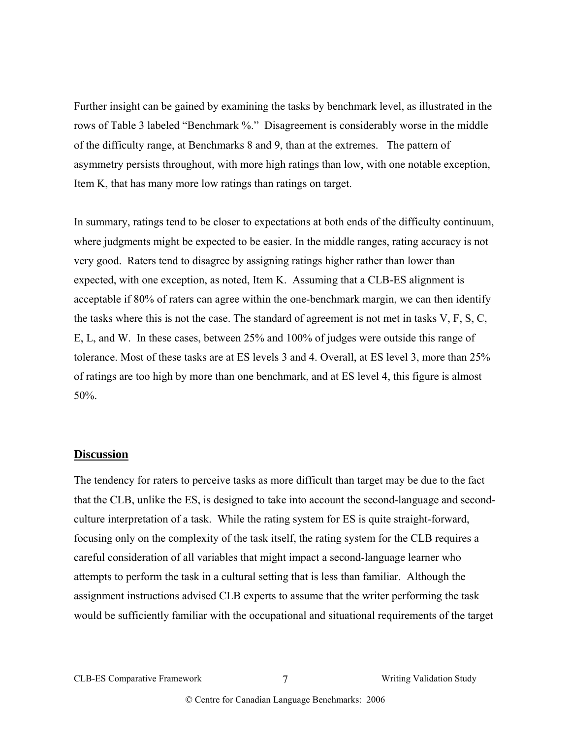Further insight can be gained by examining the tasks by benchmark level, as illustrated in the rows of Table 3 labeled "Benchmark %." Disagreement is considerably worse in the middle of the difficulty range, at Benchmarks 8 and 9, than at the extremes. The pattern of asymmetry persists throughout, with more high ratings than low, with one notable exception, Item K, that has many more low ratings than ratings on target.

In summary, ratings tend to be closer to expectations at both ends of the difficulty continuum, where judgments might be expected to be easier. In the middle ranges, rating accuracy is not very good. Raters tend to disagree by assigning ratings higher rather than lower than expected, with one exception, as noted, Item K. Assuming that a CLB-ES alignment is acceptable if 80% of raters can agree within the one-benchmark margin, we can then identify the tasks where this is not the case. The standard of agreement is not met in tasks V, F, S, C, E, L, and W. In these cases, between 25% and 100% of judges were outside this range of tolerance. Most of these tasks are at ES levels 3 and 4. Overall, at ES level 3, more than 25% of ratings are too high by more than one benchmark, and at ES level 4, this figure is almost 50%.

#### **Discussion**

The tendency for raters to perceive tasks as more difficult than target may be due to the fact that the CLB, unlike the ES, is designed to take into account the second-language and secondculture interpretation of a task. While the rating system for ES is quite straight-forward, focusing only on the complexity of the task itself, the rating system for the CLB requires a careful consideration of all variables that might impact a second-language learner who attempts to perform the task in a cultural setting that is less than familiar. Although the assignment instructions advised CLB experts to assume that the writer performing the task would be sufficiently familiar with the occupational and situational requirements of the target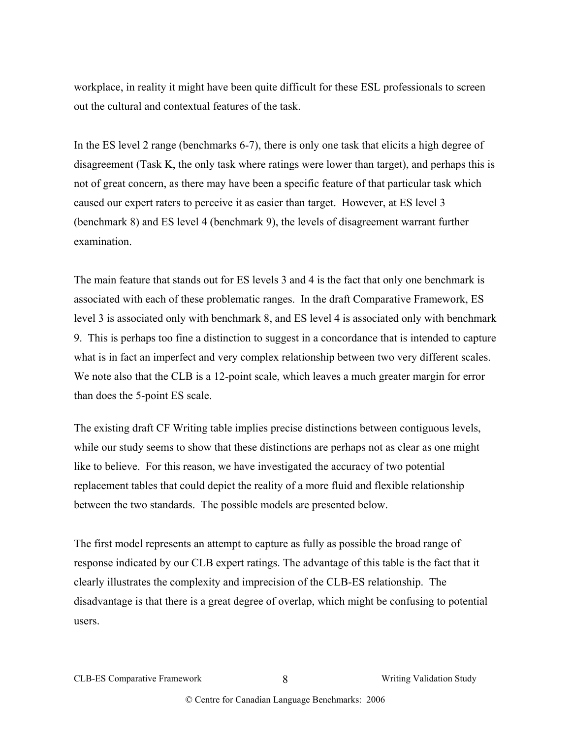workplace, in reality it might have been quite difficult for these ESL professionals to screen out the cultural and contextual features of the task.

In the ES level 2 range (benchmarks 6-7), there is only one task that elicits a high degree of disagreement (Task K, the only task where ratings were lower than target), and perhaps this is not of great concern, as there may have been a specific feature of that particular task which caused our expert raters to perceive it as easier than target. However, at ES level 3 (benchmark 8) and ES level 4 (benchmark 9), the levels of disagreement warrant further examination.

The main feature that stands out for ES levels 3 and 4 is the fact that only one benchmark is associated with each of these problematic ranges. In the draft Comparative Framework, ES level 3 is associated only with benchmark 8, and ES level 4 is associated only with benchmark 9. This is perhaps too fine a distinction to suggest in a concordance that is intended to capture what is in fact an imperfect and very complex relationship between two very different scales. We note also that the CLB is a 12-point scale, which leaves a much greater margin for error than does the 5-point ES scale.

The existing draft CF Writing table implies precise distinctions between contiguous levels, while our study seems to show that these distinctions are perhaps not as clear as one might like to believe. For this reason, we have investigated the accuracy of two potential replacement tables that could depict the reality of a more fluid and flexible relationship between the two standards. The possible models are presented below.

The first model represents an attempt to capture as fully as possible the broad range of response indicated by our CLB expert ratings. The advantage of this table is the fact that it clearly illustrates the complexity and imprecision of the CLB-ES relationship. The disadvantage is that there is a great degree of overlap, which might be confusing to potential users.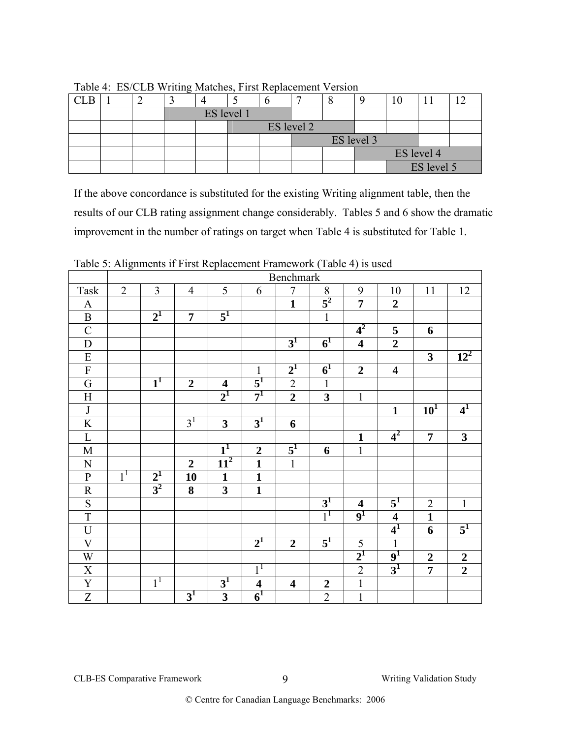|  |  | ES level 1 |  |            |            |            |            |  |
|--|--|------------|--|------------|------------|------------|------------|--|
|  |  |            |  | ES level 2 |            |            |            |  |
|  |  |            |  |            | ES level 3 |            |            |  |
|  |  |            |  |            |            | ES level 4 |            |  |
|  |  |            |  |            |            |            | ES level 5 |  |

Table 4: ES/CLB Writing Matches, First Replacement Version

If the above concordance is substituted for the existing Writing alignment table, then the results of our CLB rating assignment change considerably. Tables 5 and 6 show the dramatic improvement in the number of ratings on target when Table 4 is substituted for Table 1.

|                         |                |                           |                |                           |                         | Benchmark               |                         |                         |                         |                         |                         |
|-------------------------|----------------|---------------------------|----------------|---------------------------|-------------------------|-------------------------|-------------------------|-------------------------|-------------------------|-------------------------|-------------------------|
| Task                    | $\overline{2}$ | 3                         | $\overline{4}$ | 5                         | 6                       | $\overline{7}$          | 8                       | 9                       | 10                      | 11                      | 12                      |
| $\mathbf{A}$            |                |                           |                |                           |                         | $\mathbf{1}$            | $5^2$                   | $\overline{7}$          | $\overline{2}$          |                         |                         |
| $\, {\bf B}$            |                | $2^1$                     | $\overline{7}$ | $5^1$                     |                         |                         | $\mathbf{1}$            |                         |                         |                         |                         |
| $\overline{C}$          |                |                           |                |                           |                         |                         |                         | $4^2$                   | 5                       | 6                       |                         |
| ${\bf D}$               |                |                           |                |                           |                         | $3^1$                   | $6^1$                   | $\overline{\mathbf{4}}$ | $\overline{2}$          |                         |                         |
| ${\bf E}$               |                |                           |                |                           |                         |                         |                         |                         |                         | $\overline{\mathbf{3}}$ | $12^2$                  |
| $\overline{\mathrm{F}}$ |                |                           |                |                           | $\mathbf{1}$            | $2^1$                   | $6^1$                   | $\overline{2}$          | $\overline{\mathbf{4}}$ |                         |                         |
| G                       |                | $\overline{\mathbf{1}^1}$ | $\overline{2}$ | $\overline{\mathbf{4}}$   | $5^1$                   | $\overline{2}$          | $\mathbf{1}$            |                         |                         |                         |                         |
| $\rm H$                 |                |                           |                | $2^1$                     | $7^1$                   | $\overline{2}$          | $\overline{\mathbf{3}}$ | $\mathbf{1}$            |                         |                         |                         |
| $\overline{\textsf{J}}$ |                |                           |                |                           |                         |                         |                         |                         | $\mathbf{1}$            | 10 <sup>1</sup>         | $4^1$                   |
| $\bf K$                 |                |                           | $3^1$          | $\overline{\mathbf{3}}$   | $3^1$                   | 6                       |                         |                         |                         |                         |                         |
| $\mathbf{L}$            |                |                           |                |                           |                         |                         |                         | $\mathbf{1}$            | $4^2$                   | $\overline{7}$          | $\overline{\mathbf{3}}$ |
| M                       |                |                           |                | $\overline{\mathbf{1}^1}$ | $\overline{2}$          | $5^1$                   | 6                       | $\mathbf{1}$            |                         |                         |                         |
| ${\bf N}$               |                |                           | $\overline{2}$ | 11 <sup>2</sup>           | $\mathbf{1}$            | $\mathbf{1}$            |                         |                         |                         |                         |                         |
| $\, {\bf p}$            | $1^1$          | $2^1$                     | 10             | $\mathbf{1}$              | $\mathbf{1}$            |                         |                         |                         |                         |                         |                         |
| ${\bf R}$               |                | 3 <sup>2</sup>            | 8              | 3                         | $\mathbf{1}$            |                         |                         |                         |                         |                         |                         |
| ${\mathbf S}$           |                |                           |                |                           |                         |                         | 3 <sup>1</sup>          | $\overline{\mathbf{4}}$ | $5^1$                   | $\overline{2}$          | $\mathbf{1}$            |
| $\overline{\mathrm{T}}$ |                |                           |                |                           |                         |                         | $1^1$                   | 9 <sup>1</sup>          | $\overline{\mathbf{4}}$ | $\mathbf{1}$            |                         |
| $\mathbf U$             |                |                           |                |                           |                         |                         |                         |                         | $\overline{4}^1$        | 6                       | $5^1$                   |
| $\overline{\mathsf{V}}$ |                |                           |                |                           | $2^1$                   | $\overline{2}$          | $5^1$                   | 5                       | $\mathbf{1}$            |                         |                         |
| W                       |                |                           |                |                           |                         |                         |                         | $2^1$                   | 9 <sup>1</sup>          | $\overline{2}$          | $\boldsymbol{2}$        |
| $\mathbf X$             |                |                           |                |                           | $1^1$                   |                         |                         | $\overline{2}$          | $3^1$                   | $\overline{7}$          | $\overline{2}$          |
| $\mathbf Y$             |                | $1^1$                     |                | $3^1$                     | $\overline{\mathbf{4}}$ | $\overline{\mathbf{4}}$ | $\overline{2}$          | $\mathbf{1}$            |                         |                         |                         |
| $\overline{Z}$          |                |                           | $3^1$          | $\overline{\mathbf{3}}$   | $6^1$                   |                         | $\overline{2}$          | $\mathbf{1}$            |                         |                         |                         |

Table 5: Alignments if First Replacement Framework (Table 4) is used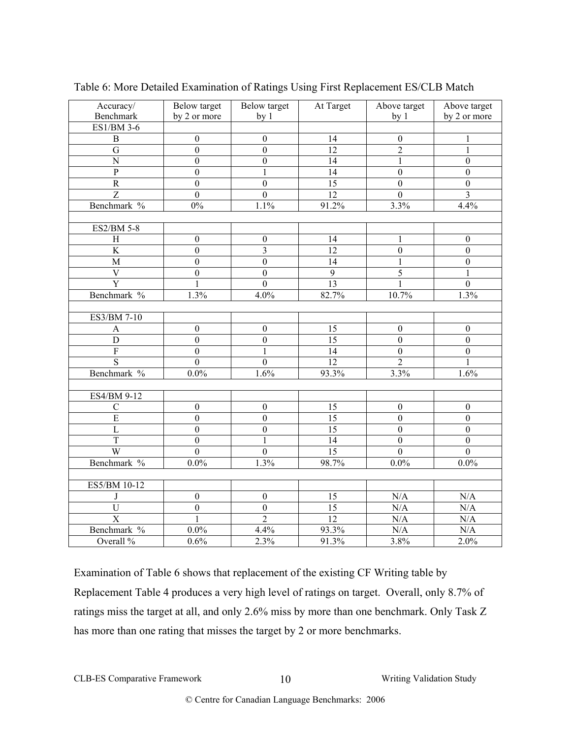| Accuracy/            | Below target     | <b>Below</b> target     | At Target       | Above target     | Above target            |
|----------------------|------------------|-------------------------|-----------------|------------------|-------------------------|
| Benchmark            | by 2 or more     | by <sub>1</sub>         |                 | by <sub>1</sub>  | by 2 or more            |
| ES1/BM 3-6           |                  |                         |                 |                  |                         |
| $\, {\bf B}$         | $\boldsymbol{0}$ | $\boldsymbol{0}$        | 14              | $\boldsymbol{0}$ |                         |
| $\overline{G}$       | $\overline{0}$   | $\overline{0}$          | $\overline{12}$ | $\overline{2}$   | $\mathbf{1}$            |
| $\overline{N}$       | $\overline{0}$   | $\boldsymbol{0}$        | 14              | $\mathbf{1}$     | $\overline{0}$          |
| $\overline{P}$       | $\boldsymbol{0}$ | 1                       | $\overline{14}$ | $\boldsymbol{0}$ | $\boldsymbol{0}$        |
| R                    | $\boldsymbol{0}$ | $\boldsymbol{0}$        | 15              | $\boldsymbol{0}$ | $\boldsymbol{0}$        |
| $\overline{Z}$       | $\boldsymbol{0}$ | $\boldsymbol{0}$        | 12              | $\boldsymbol{0}$ | $\overline{\mathbf{3}}$ |
| Benchmark %          | $\overline{0\%}$ | 1.1%                    | 91.2%           | 3.3%             | 4.4%                    |
|                      |                  |                         |                 |                  |                         |
| ES2/BM 5-8           |                  |                         |                 |                  |                         |
| H                    | $\boldsymbol{0}$ | $\boldsymbol{0}$        | 14              | $\mathbf{1}$     | $\boldsymbol{0}$        |
| K                    | $\boldsymbol{0}$ | $\overline{\mathbf{3}}$ | 12              | $\boldsymbol{0}$ | $\boldsymbol{0}$        |
| M                    | $\boldsymbol{0}$ | $\boldsymbol{0}$        | 14              | 1                | $\mathbf{0}$            |
| $\overline{\rm v}$   | $\overline{0}$   | $\boldsymbol{0}$        | $\overline{9}$  | 5                | 1                       |
| $\overline{Y}$       | $\mathbf{1}$     | $\overline{0}$          | 13              | 1                | $\boldsymbol{0}$        |
| Benchmark %          | 1.3%             | 4.0%                    | 82.7%           | 10.7%            | 1.3%                    |
|                      |                  |                         |                 |                  |                         |
| ES3/BM 7-10          |                  |                         |                 |                  |                         |
| $\mathbf{A}$         | $\boldsymbol{0}$ | $\boldsymbol{0}$        | 15              | $\boldsymbol{0}$ | $\boldsymbol{0}$        |
| D                    | $\boldsymbol{0}$ | $\boldsymbol{0}$        | 15              | $\boldsymbol{0}$ | $\boldsymbol{0}$        |
| $\overline{F}$       | $\boldsymbol{0}$ |                         | 14              | $\boldsymbol{0}$ | $\boldsymbol{0}$        |
| $\overline{S}$       | $\mathbf{0}$     | $\boldsymbol{0}$        | 12              | $\overline{2}$   |                         |
| Benchmark %          | $0.0\%$          | 1.6%                    | 93.3%           | 3.3%             | 1.6%                    |
|                      |                  |                         |                 |                  |                         |
| ES4/BM 9-12          |                  |                         |                 |                  |                         |
| $\mathcal{C}$        | $\boldsymbol{0}$ | $\boldsymbol{0}$        | 15              | $\boldsymbol{0}$ | $\boldsymbol{0}$        |
| E                    | $\boldsymbol{0}$ | $\boldsymbol{0}$        | $\overline{15}$ | $\boldsymbol{0}$ | $\boldsymbol{0}$        |
| L                    | $\boldsymbol{0}$ | $\boldsymbol{0}$        | 15              | $\boldsymbol{0}$ | $\boldsymbol{0}$        |
| $\overline{T}$       | $\boldsymbol{0}$ | 1                       | 14              | $\boldsymbol{0}$ | $\boldsymbol{0}$        |
| $\overline{W}$       | $\overline{0}$   | $\boldsymbol{0}$        | $\overline{15}$ | $\boldsymbol{0}$ | $\boldsymbol{0}$        |
| Benchmark %          | $0.0\%$          | 1.3%                    | 98.7%           | $0.0\%$          | $0.0\%$                 |
|                      |                  |                         |                 |                  |                         |
| ES5/BM 10-12         |                  |                         |                 |                  |                         |
| J                    | $\boldsymbol{0}$ | $\boldsymbol{0}$        | 15              | N/A              | N/A                     |
| U                    | $\boldsymbol{0}$ | $\boldsymbol{0}$        | 15              | N/A              | N/A                     |
| $\overline{X}$       | $\mathbf{1}$     | $\overline{2}$          | 12              | N/A              | N/A                     |
| Benchmark %          | $0.0\%$          | 4.4%                    | 93.3%           | N/A              | $\rm N/A$               |
| Overall <sup>%</sup> | 0.6%             | 2.3%                    | 91.3%           | 3.8%             | 2.0%                    |

Table 6: More Detailed Examination of Ratings Using First Replacement ES/CLB Match

Examination of Table 6 shows that replacement of the existing CF Writing table by Replacement Table 4 produces a very high level of ratings on target. Overall, only 8.7% of ratings miss the target at all, and only 2.6% miss by more than one benchmark. Only Task Z has more than one rating that misses the target by 2 or more benchmarks.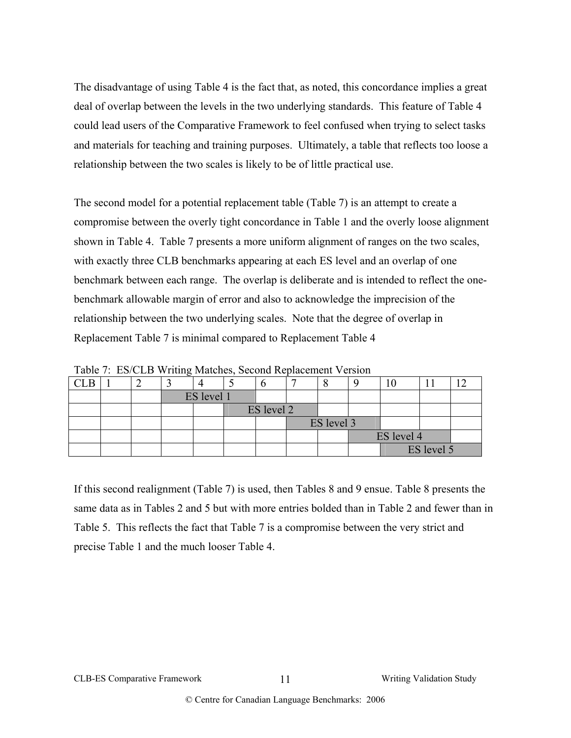The disadvantage of using Table 4 is the fact that, as noted, this concordance implies a great deal of overlap between the levels in the two underlying standards. This feature of Table 4 could lead users of the Comparative Framework to feel confused when trying to select tasks and materials for teaching and training purposes. Ultimately, a table that reflects too loose a relationship between the two scales is likely to be of little practical use.

The second model for a potential replacement table (Table 7) is an attempt to create a compromise between the overly tight concordance in Table 1 and the overly loose alignment shown in Table 4. Table 7 presents a more uniform alignment of ranges on the two scales, with exactly three CLB benchmarks appearing at each ES level and an overlap of one benchmark between each range. The overlap is deliberate and is intended to reflect the onebenchmark allowable margin of error and also to acknowledge the imprecision of the relationship between the two underlying scales. Note that the degree of overlap in Replacement Table 7 is minimal compared to Replacement Table 4

| <b>CLB</b> |  |            |            |            |            |            |  |
|------------|--|------------|------------|------------|------------|------------|--|
|            |  | ES level 1 |            |            |            |            |  |
|            |  |            | ES level 2 |            |            |            |  |
|            |  |            |            | ES level 3 |            |            |  |
|            |  |            |            |            | ES level 4 |            |  |
|            |  |            |            |            |            | ES level 5 |  |

Table 7: ES/CLB Writing Matches, Second Replacement Version

If this second realignment (Table 7) is used, then Tables 8 and 9 ensue. Table 8 presents the same data as in Tables 2 and 5 but with more entries bolded than in Table 2 and fewer than in Table 5. This reflects the fact that Table 7 is a compromise between the very strict and precise Table 1 and the much looser Table 4.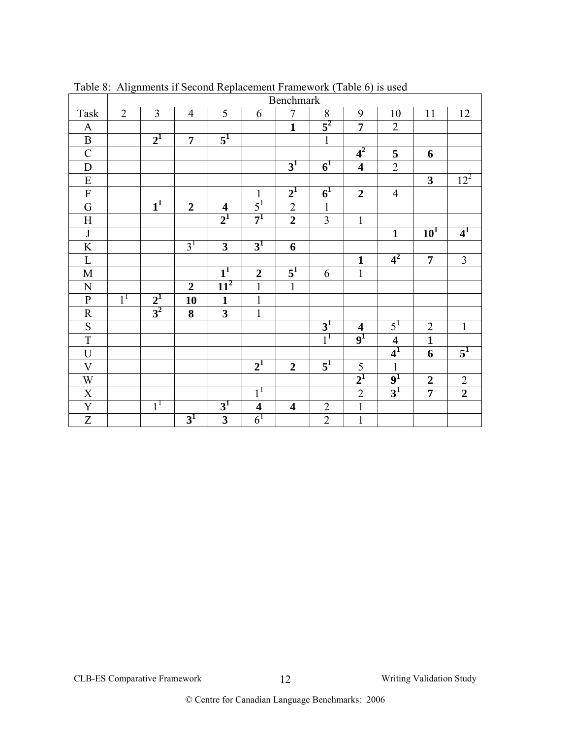|                           |                |                |                |                           |                         | Benchmark               |                             |                         |                         |                         |                |
|---------------------------|----------------|----------------|----------------|---------------------------|-------------------------|-------------------------|-----------------------------|-------------------------|-------------------------|-------------------------|----------------|
| Task                      | $\overline{2}$ | $\overline{3}$ | $\overline{4}$ | 5                         | 6                       | $\overline{7}$          | 8                           | 9                       | 10                      | 11                      | 12             |
| $\mathbf{A}$              |                |                |                |                           |                         | $\mathbf{1}$            | $5^2$                       | $\overline{7}$          | $\overline{2}$          |                         |                |
| $\, {\bf B}$              |                | $2^1$          | $\overline{7}$ | $5^1$                     |                         |                         | $\mathbf{1}$                |                         |                         |                         |                |
| $\overline{C}$            |                |                |                |                           |                         |                         |                             | $4^2$                   | 5                       | 6                       |                |
| $\label{eq:1} \mathbf{D}$ |                |                |                |                           |                         | $3^1$                   | $\overline{6}$ <sup>I</sup> | $\overline{\mathbf{4}}$ | $\overline{2}$          |                         |                |
| $\overline{\mathrm{E}}$   |                |                |                |                           |                         |                         |                             |                         |                         | $\overline{\mathbf{3}}$ | $12^{2}$       |
| $\overline{\mathrm{F}}$   |                |                |                |                           | $\mathbf{1}$            | $2^1$                   | $6^1$                       | $\overline{2}$          | $\overline{4}$          |                         |                |
| $\overline{G}$            |                | $1^1$          | $\overline{2}$ | $\overline{\mathbf{4}}$   | $5^1$                   | $\overline{2}$          | $\mathbf{1}$                |                         |                         |                         |                |
| $\boldsymbol{\mathrm{H}}$ |                |                |                | $2^1$                     | $7^1$                   | $\overline{2}$          | $\overline{3}$              | $\mathbf{1}$            |                         |                         |                |
| $\overline{J}$            |                |                |                |                           |                         |                         |                             |                         | $\mathbf{1}$            | 10 <sup>1</sup>         | $4^1$          |
| $\rm K$                   |                |                | 3 <sup>1</sup> | $\overline{\mathbf{3}}$   | $3^1$                   | 6                       |                             |                         |                         |                         |                |
| $\mathbf L$               |                |                |                |                           |                         |                         |                             | $\mathbf{1}$            | $4^2$                   | $\overline{7}$          | $\overline{3}$ |
| $\mathbf M$               |                |                |                | $\overline{\mathbf{1}}^1$ | $\overline{2}$          | $5^1$                   | 6                           | $\mathbf{1}$            |                         |                         |                |
| ${\bf N}$                 |                |                | $\overline{2}$ | 11 <sup>2</sup>           | $\mathbf{1}$            | $\mathbf{1}$            |                             |                         |                         |                         |                |
| $\overline{P}$            | $1^1$          | $2^1$          | 10             | $\mathbf{1}$              | $\mathbf{1}$            |                         |                             |                         |                         |                         |                |
| $\overline{R}$            |                | 3 <sup>2</sup> | 8              | $\overline{\mathbf{3}}$   | $\mathbf{1}$            |                         |                             |                         |                         |                         |                |
| $\overline{S}$            |                |                |                |                           |                         |                         | $3^1$                       | $\overline{\mathbf{4}}$ | $5^1$                   | $\overline{2}$          | $\mathbf{1}$   |
| $\overline{\mathrm{T}}$   |                |                |                |                           |                         |                         | $1^1$                       | 9 <sup>1</sup>          | $\overline{\mathbf{4}}$ | $\mathbf{1}$            |                |
| $\overline{U}$            |                |                |                |                           |                         |                         |                             |                         | $4^1$                   | 6                       | $5^1$          |
| $\ensuremath{\mathbf{V}}$ |                |                |                |                           | $2^1$                   | $\overline{2}$          | $5^1$                       | 5                       | $\mathbf{1}$            |                         |                |
| W                         |                |                |                |                           |                         |                         |                             | $2^1$                   | 9 <sup>1</sup>          | $\boldsymbol{2}$        | $\sqrt{2}$     |
| $\mathbf X$               |                |                |                |                           | $1^1$                   |                         |                             | $\overline{2}$          | $3^1$                   | $\overline{7}$          | $\overline{2}$ |
| $\overline{Y}$            |                | $1^1$          |                | $3^1$                     | $\overline{\mathbf{4}}$ | $\overline{\mathbf{4}}$ | $\overline{2}$              | $\mathbf{1}$            |                         |                         |                |
| $\overline{Z}$            |                |                | $3^1$          | $\overline{\mathbf{3}}$   | $6^1$                   |                         | $\overline{2}$              | $\mathbf{1}$            |                         |                         |                |

Table 8: Alignments if Second Replacement Framework (Table 6) is used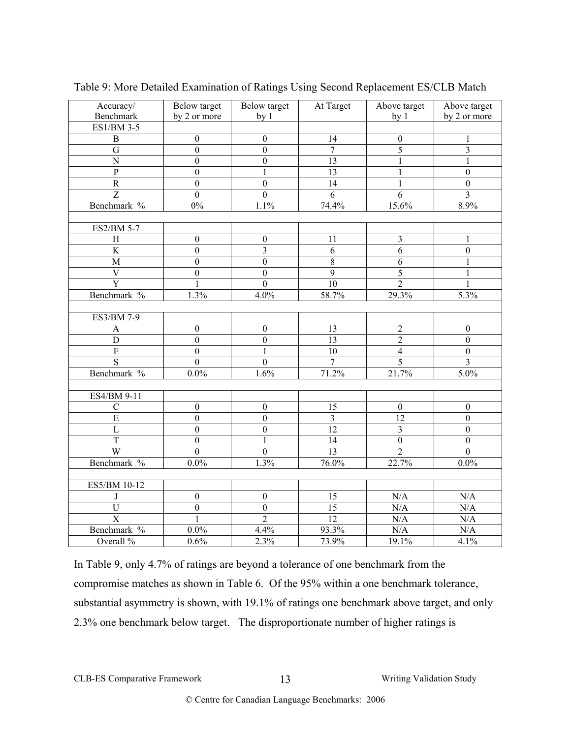| Accuracy/          | Below target     | <b>Below</b> target | At Target               | Above target            | Above target     |
|--------------------|------------------|---------------------|-------------------------|-------------------------|------------------|
| Benchmark          | by 2 or more     | by <sub>1</sub>     |                         | by <sub>1</sub>         | by 2 or more     |
| ES1/BM 3-5         |                  |                     |                         |                         |                  |
| $\bf{B}$           | $\overline{0}$   | $\overline{0}$      | $\overline{14}$         | $\overline{0}$          | 1                |
| $\overline{G}$     | $\overline{0}$   | $\overline{0}$      | $\overline{7}$          | 5                       | $\overline{3}$   |
| N                  | $\boldsymbol{0}$ | $\boldsymbol{0}$    | 13                      | 1                       | 1                |
| ${\bf P}$          | $\boldsymbol{0}$ | 1                   | 13                      | 1                       | $\boldsymbol{0}$ |
| $\overline{R}$     | $\boldsymbol{0}$ | $\boldsymbol{0}$    | 14                      | 1                       | $\boldsymbol{0}$ |
| $\overline{z}$     | $\overline{0}$   | $\overline{0}$      | 6                       | $\overline{6}$          | $\overline{3}$   |
| Benchmark %        | $0\%$            | 1.1%                | 74.4%                   | 15.6%                   | 8.9%             |
|                    |                  |                     |                         |                         |                  |
| ES2/BM 5-7         |                  |                     |                         |                         |                  |
| $\rm H$            | $\boldsymbol{0}$ | $\boldsymbol{0}$    | 11                      | $\overline{\mathbf{3}}$ | $\mathbf{1}$     |
| $\rm K$            | $\boldsymbol{0}$ | 3                   | 6                       | 6                       | $\overline{0}$   |
| M                  | $\boldsymbol{0}$ | $\boldsymbol{0}$    | $8\,$                   | 6                       |                  |
| $\overline{\rm v}$ | $\overline{0}$   | $\boldsymbol{0}$    | $\overline{9}$          | 5                       |                  |
| $\overline{Y}$     |                  | $\boldsymbol{0}$    | 10                      | $\overline{2}$          |                  |
| Benchmark %        | 1.3%             | 4.0%                | 58.7%                   | 29.3%                   | 5.3%             |
|                    |                  |                     |                         |                         |                  |
| ES3/BM 7-9         |                  |                     |                         |                         |                  |
| $\mathbf{A}$       | $\boldsymbol{0}$ | $\boldsymbol{0}$    | 13                      | $\overline{2}$          | $\boldsymbol{0}$ |
| $\mathbf D$        | $\boldsymbol{0}$ | $\boldsymbol{0}$    | 13                      | $\overline{2}$          | $\boldsymbol{0}$ |
| ${\rm F}$          | $\boldsymbol{0}$ | 1                   | $10\,$                  | $\overline{4}$          | $\boldsymbol{0}$ |
| $\overline{S}$     | $\overline{0}$   | $\boldsymbol{0}$    | $\overline{7}$          | $\overline{5}$          | $\overline{3}$   |
| Benchmark %        | $0.0\%$          | 1.6%                | 71.2%                   | 21.7%                   | 5.0%             |
|                    |                  |                     |                         |                         |                  |
| ES4/BM 9-11        |                  |                     |                         |                         |                  |
| $\mathcal{C}$      | $\boldsymbol{0}$ | $\boldsymbol{0}$    | 15                      | $\boldsymbol{0}$        | $\boldsymbol{0}$ |
| E                  | $\boldsymbol{0}$ | $\mathbf{0}$        | $\overline{\mathbf{3}}$ | 12                      | $\boldsymbol{0}$ |
| L                  | $\boldsymbol{0}$ | $\boldsymbol{0}$    | 12                      | $\mathfrak{Z}$          | $\boldsymbol{0}$ |
| $\overline{T}$     | $\overline{0}$   | 1                   | 14                      | $\overline{0}$          | $\overline{0}$   |
| $\overline{W}$     | $\overline{0}$   | $\overline{0}$      | $\overline{13}$         | $\overline{2}$          | $\boldsymbol{0}$ |
| Benchmark %        | $0.0\%$          | 1.3%                | 76.0%                   | 22.7%                   | $0.0\%$          |
|                    |                  |                     |                         |                         |                  |
| ES5/BM 10-12       |                  |                     |                         |                         |                  |
| J                  | $\boldsymbol{0}$ | $\boldsymbol{0}$    | 15                      | N/A                     | N/A              |
| U                  | $\boldsymbol{0}$ | $\boldsymbol{0}$    | $\overline{15}$         | N/A                     | N/A              |
| $\mathbf X$        | 1                | $\overline{2}$      | 12                      | N/A                     | N/A              |
| Benchmark %        | $0.0\%$          | 4.4%                | 93.3%                   | N/A                     | N/A              |
| Overall %          | 0.6%             | 2.3%                | 73.9%                   | 19.1%                   | 4.1%             |

Table 9: More Detailed Examination of Ratings Using Second Replacement ES/CLB Match

In Table 9, only 4.7% of ratings are beyond a tolerance of one benchmark from the compromise matches as shown in Table 6. Of the 95% within a one benchmark tolerance, substantial asymmetry is shown, with 19.1% of ratings one benchmark above target, and only 2.3% one benchmark below target. The disproportionate number of higher ratings is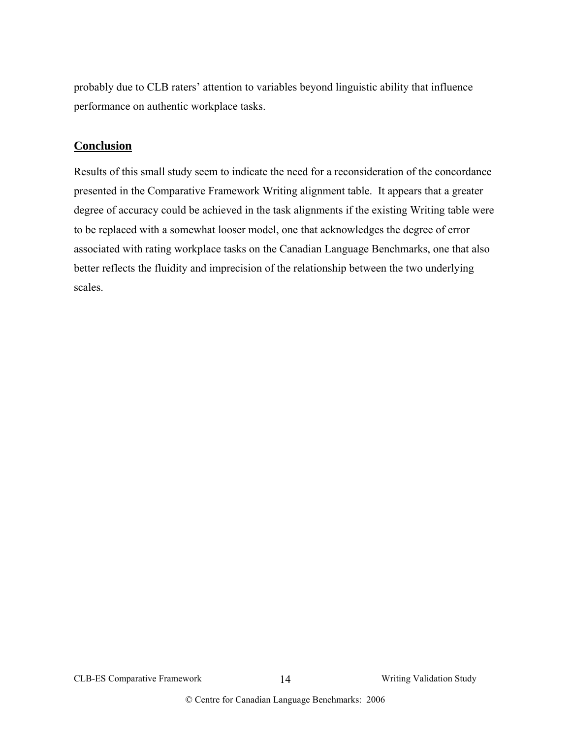probably due to CLB raters' attention to variables beyond linguistic ability that influence performance on authentic workplace tasks.

#### **Conclusion**

Results of this small study seem to indicate the need for a reconsideration of the concordance presented in the Comparative Framework Writing alignment table. It appears that a greater degree of accuracy could be achieved in the task alignments if the existing Writing table were to be replaced with a somewhat looser model, one that acknowledges the degree of error associated with rating workplace tasks on the Canadian Language Benchmarks, one that also better reflects the fluidity and imprecision of the relationship between the two underlying scales.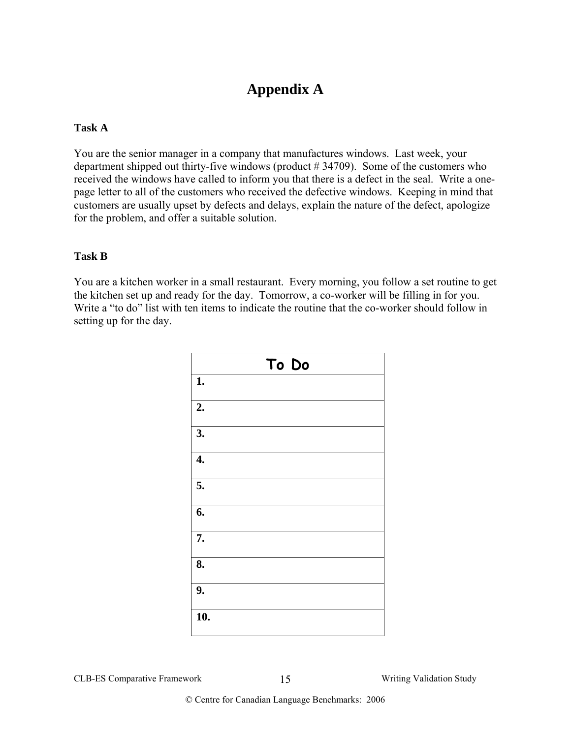# **Appendix A**

#### **Task A**

You are the senior manager in a company that manufactures windows. Last week, your department shipped out thirty-five windows (product # 34709). Some of the customers who received the windows have called to inform you that there is a defect in the seal. Write a onepage letter to all of the customers who received the defective windows. Keeping in mind that customers are usually upset by defects and delays, explain the nature of the defect, apologize for the problem, and offer a suitable solution.

#### **Task B**

You are a kitchen worker in a small restaurant. Every morning, you follow a set routine to get the kitchen set up and ready for the day. Tomorrow, a co-worker will be filling in for you. Write a "to do" list with ten items to indicate the routine that the co-worker should follow in setting up for the day.

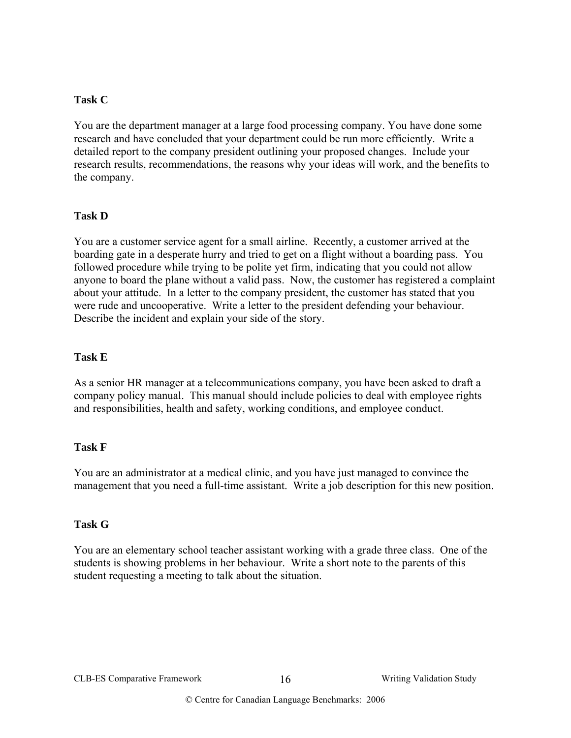#### **Task C**

You are the department manager at a large food processing company. You have done some research and have concluded that your department could be run more efficiently. Write a detailed report to the company president outlining your proposed changes. Include your research results, recommendations, the reasons why your ideas will work, and the benefits to the company.

#### **Task D**

You are a customer service agent for a small airline. Recently, a customer arrived at the boarding gate in a desperate hurry and tried to get on a flight without a boarding pass. You followed procedure while trying to be polite yet firm, indicating that you could not allow anyone to board the plane without a valid pass. Now, the customer has registered a complaint about your attitude. In a letter to the company president, the customer has stated that you were rude and uncooperative. Write a letter to the president defending your behaviour. Describe the incident and explain your side of the story.

#### **Task E**

As a senior HR manager at a telecommunications company, you have been asked to draft a company policy manual. This manual should include policies to deal with employee rights and responsibilities, health and safety, working conditions, and employee conduct.

#### **Task F**

You are an administrator at a medical clinic, and you have just managed to convince the management that you need a full-time assistant. Write a job description for this new position.

#### **Task G**

You are an elementary school teacher assistant working with a grade three class. One of the students is showing problems in her behaviour. Write a short note to the parents of this student requesting a meeting to talk about the situation.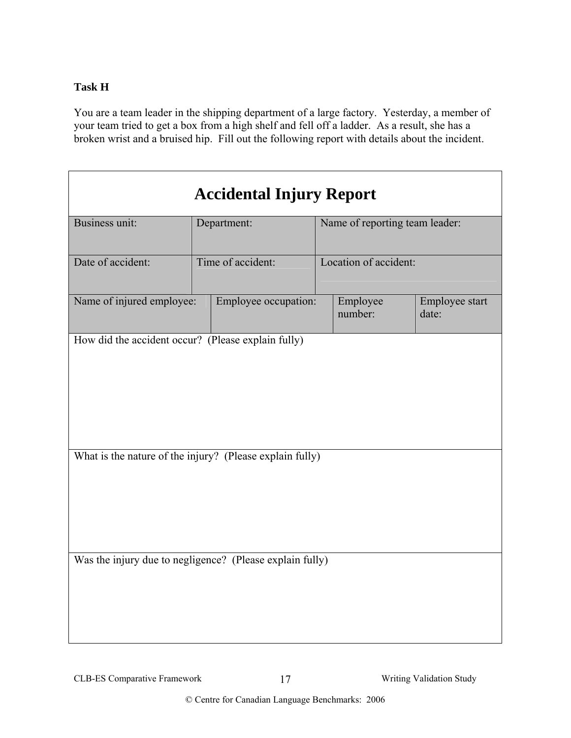## **Task H**

You are a team leader in the shipping department of a large factory. Yesterday, a member of your team tried to get a box from a high shelf and fell off a ladder. As a result, she has a broken wrist and a bruised hip. Fill out the following report with details about the incident.

|                                                    | <b>Accidental Injury Report</b>                                                                                      |                                |  |  |  |  |  |  |
|----------------------------------------------------|----------------------------------------------------------------------------------------------------------------------|--------------------------------|--|--|--|--|--|--|
| Business unit:                                     | Department:                                                                                                          | Name of reporting team leader: |  |  |  |  |  |  |
| Date of accident:                                  | Time of accident:                                                                                                    | Location of accident:          |  |  |  |  |  |  |
| Name of injured employee:                          | Employee occupation:<br>Employee<br>number:                                                                          | Employee start<br>date:        |  |  |  |  |  |  |
| How did the accident occur? (Please explain fully) | What is the nature of the injury? (Please explain fully)<br>Was the injury due to negligence? (Please explain fully) |                                |  |  |  |  |  |  |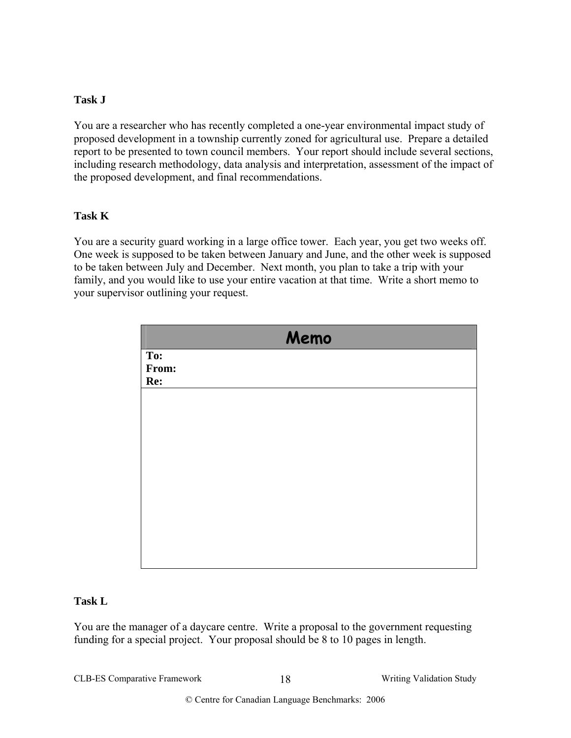#### **Task J**

You are a researcher who has recently completed a one-year environmental impact study of proposed development in a township currently zoned for agricultural use. Prepare a detailed report to be presented to town council members. Your report should include several sections, including research methodology, data analysis and interpretation, assessment of the impact of the proposed development, and final recommendations.

#### **Task K**

You are a security guard working in a large office tower. Each year, you get two weeks off. One week is supposed to be taken between January and June, and the other week is supposed to be taken between July and December. Next month, you plan to take a trip with your family, and you would like to use your entire vacation at that time. Write a short memo to your supervisor outlining your request.

| Memo  |  |
|-------|--|
| To:   |  |
| From: |  |
| Re:   |  |
|       |  |
|       |  |
|       |  |
|       |  |
|       |  |
|       |  |
|       |  |
|       |  |
|       |  |
|       |  |
|       |  |
|       |  |
|       |  |
|       |  |

#### **Task L**

You are the manager of a daycare centre. Write a proposal to the government requesting funding for a special project. Your proposal should be 8 to 10 pages in length.

CLB-ES Comparative Framework 18 18 Writing Validation Study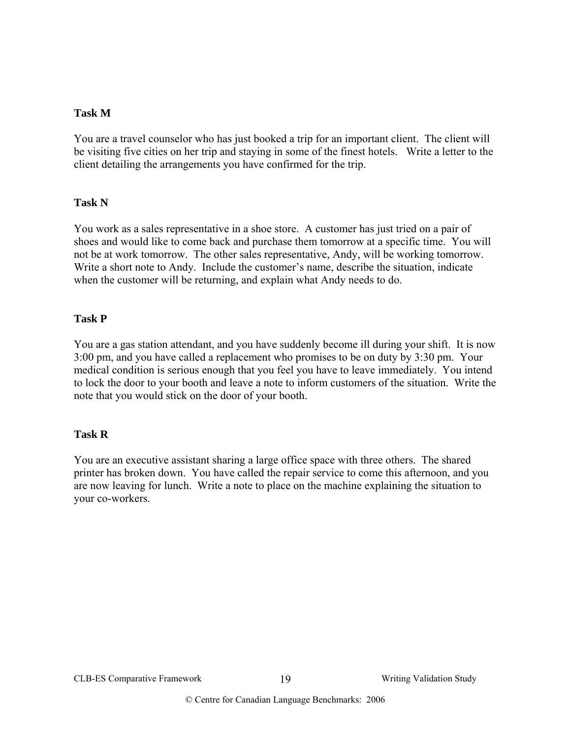#### **Task M**

You are a travel counselor who has just booked a trip for an important client. The client will be visiting five cities on her trip and staying in some of the finest hotels. Write a letter to the client detailing the arrangements you have confirmed for the trip.

#### **Task N**

You work as a sales representative in a shoe store. A customer has just tried on a pair of shoes and would like to come back and purchase them tomorrow at a specific time. You will not be at work tomorrow. The other sales representative, Andy, will be working tomorrow. Write a short note to Andy. Include the customer's name, describe the situation, indicate when the customer will be returning, and explain what Andy needs to do.

#### **Task P**

You are a gas station attendant, and you have suddenly become ill during your shift. It is now 3:00 pm, and you have called a replacement who promises to be on duty by 3:30 pm. Your medical condition is serious enough that you feel you have to leave immediately. You intend to lock the door to your booth and leave a note to inform customers of the situation. Write the note that you would stick on the door of your booth.

#### **Task R**

You are an executive assistant sharing a large office space with three others. The shared printer has broken down. You have called the repair service to come this afternoon, and you are now leaving for lunch. Write a note to place on the machine explaining the situation to your co-workers.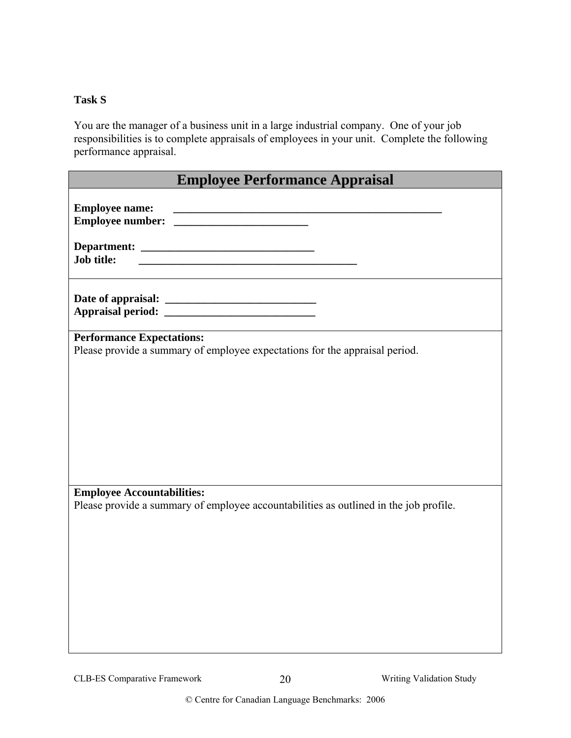#### **Task S**

You are the manager of a business unit in a large industrial company. One of your job responsibilities is to complete appraisals of employees in your unit. Complete the following performance appraisal.

| <b>Employee Performance Appraisal</b>                                                                                      |
|----------------------------------------------------------------------------------------------------------------------------|
| <b>Employee name:</b><br>Job title:<br><u> 1989 - Johann Stoff, amerikansk politiker (* 1908)</u>                          |
|                                                                                                                            |
| <b>Performance Expectations:</b><br>Please provide a summary of employee expectations for the appraisal period.            |
|                                                                                                                            |
|                                                                                                                            |
|                                                                                                                            |
|                                                                                                                            |
| <b>Employee Accountabilities:</b><br>Please provide a summary of employee accountabilities as outlined in the job profile. |
|                                                                                                                            |
|                                                                                                                            |
|                                                                                                                            |
|                                                                                                                            |
|                                                                                                                            |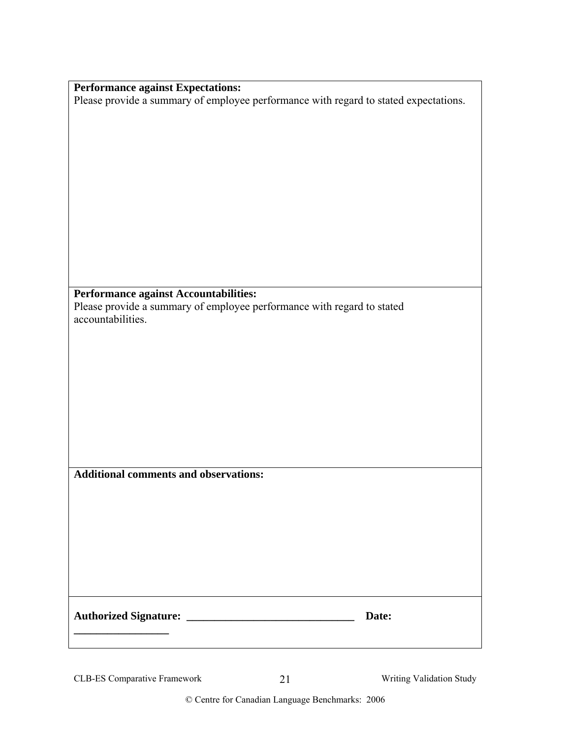| <b>Performance against Expectations:</b>                                             |
|--------------------------------------------------------------------------------------|
| Please provide a summary of employee performance with regard to stated expectations. |
|                                                                                      |
|                                                                                      |
|                                                                                      |
|                                                                                      |
|                                                                                      |
|                                                                                      |
|                                                                                      |
|                                                                                      |
|                                                                                      |
|                                                                                      |
|                                                                                      |
|                                                                                      |
|                                                                                      |
|                                                                                      |
| Performance against Accountabilities:                                                |
| Please provide a summary of employee performance with regard to stated               |
| accountabilities.                                                                    |
|                                                                                      |
|                                                                                      |
|                                                                                      |
|                                                                                      |
|                                                                                      |
|                                                                                      |
|                                                                                      |
|                                                                                      |
|                                                                                      |
|                                                                                      |
|                                                                                      |
|                                                                                      |
| <b>Additional comments and observations:</b>                                         |
|                                                                                      |
|                                                                                      |
|                                                                                      |
|                                                                                      |
|                                                                                      |
|                                                                                      |
|                                                                                      |
|                                                                                      |
|                                                                                      |
|                                                                                      |
| Date:                                                                                |
|                                                                                      |
|                                                                                      |
|                                                                                      |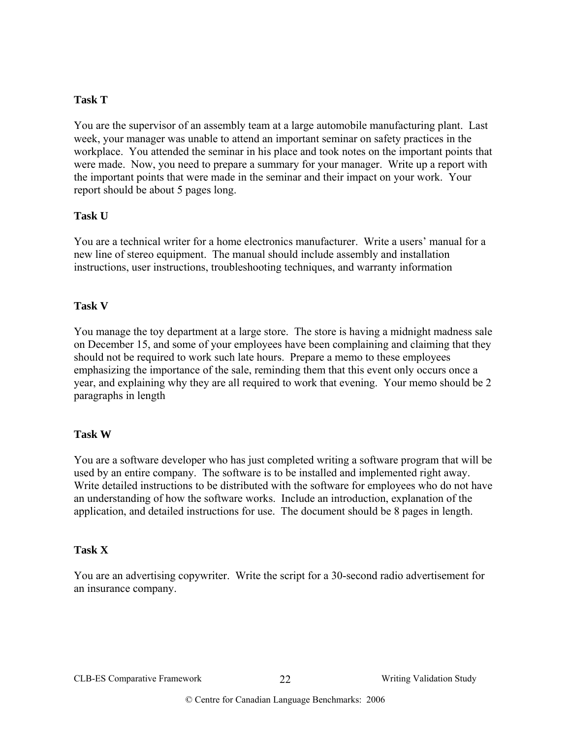#### **Task T**

You are the supervisor of an assembly team at a large automobile manufacturing plant. Last week, your manager was unable to attend an important seminar on safety practices in the workplace. You attended the seminar in his place and took notes on the important points that were made. Now, you need to prepare a summary for your manager. Write up a report with the important points that were made in the seminar and their impact on your work. Your report should be about 5 pages long.

#### **Task U**

You are a technical writer for a home electronics manufacturer. Write a users' manual for a new line of stereo equipment. The manual should include assembly and installation instructions, user instructions, troubleshooting techniques, and warranty information

#### **Task V**

You manage the toy department at a large store. The store is having a midnight madness sale on December 15, and some of your employees have been complaining and claiming that they should not be required to work such late hours. Prepare a memo to these employees emphasizing the importance of the sale, reminding them that this event only occurs once a year, and explaining why they are all required to work that evening. Your memo should be 2 paragraphs in length

#### **Task W**

You are a software developer who has just completed writing a software program that will be used by an entire company. The software is to be installed and implemented right away. Write detailed instructions to be distributed with the software for employees who do not have an understanding of how the software works. Include an introduction, explanation of the application, and detailed instructions for use. The document should be 8 pages in length.

#### **Task X**

You are an advertising copywriter. Write the script for a 30-second radio advertisement for an insurance company.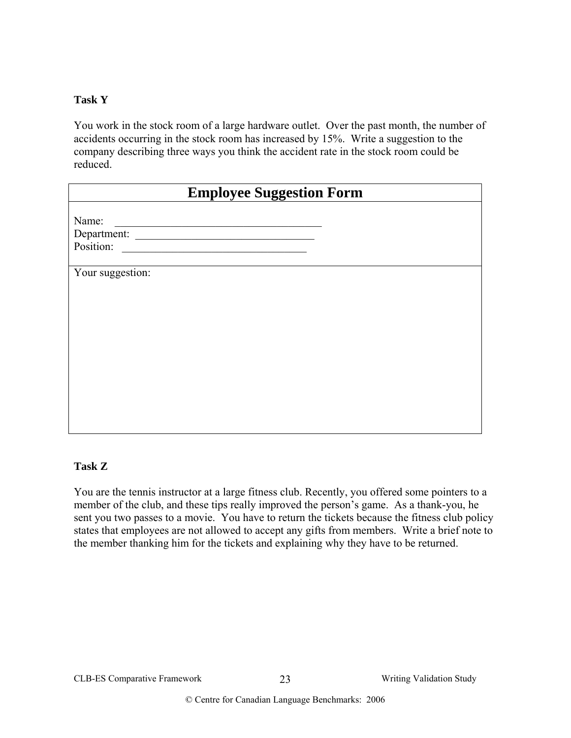#### **Task Y**

You work in the stock room of a large hardware outlet. Over the past month, the number of accidents occurring in the stock room has increased by 15%. Write a suggestion to the company describing three ways you think the accident rate in the stock room could be reduced.

| <b>Employee Suggestion Form</b> |  |  |  |
|---------------------------------|--|--|--|
| Name:                           |  |  |  |
|                                 |  |  |  |
| Department:<br>Position:        |  |  |  |
|                                 |  |  |  |
| Your suggestion:                |  |  |  |
|                                 |  |  |  |
|                                 |  |  |  |
|                                 |  |  |  |
|                                 |  |  |  |
|                                 |  |  |  |
|                                 |  |  |  |
|                                 |  |  |  |
|                                 |  |  |  |
|                                 |  |  |  |
|                                 |  |  |  |
|                                 |  |  |  |

#### **Task Z**

You are the tennis instructor at a large fitness club. Recently, you offered some pointers to a member of the club, and these tips really improved the person's game. As a thank-you, he sent you two passes to a movie. You have to return the tickets because the fitness club policy states that employees are not allowed to accept any gifts from members. Write a brief note to the member thanking him for the tickets and explaining why they have to be returned.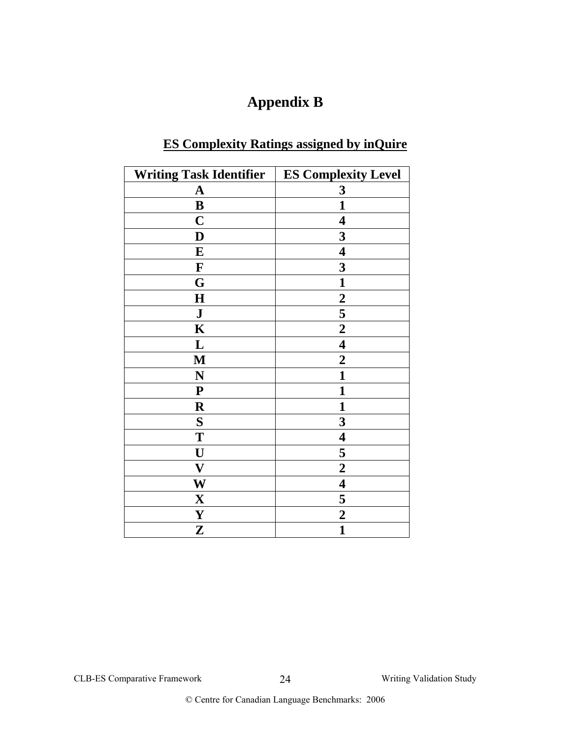# **Appendix B**

| <b>Writing Task Identifier</b> | <b>ES Complexity Level</b> |
|--------------------------------|----------------------------|
| $\mathbf A$                    | 3                          |
| $\bf{B}$                       | $\mathbf{1}$               |
| $\mathbf C$                    | $\overline{\mathbf{4}}$    |
| D                              | 3                          |
| E                              | 4                          |
| $\mathbf F$                    | $\overline{\mathbf{3}}$    |
| G                              | $\mathbf{1}$               |
| $\mathbf H$                    | $\overline{\mathbf{2}}$    |
| ${\bf J}$                      | 5                          |
| $\mathbf K$                    | $\overline{\mathbf{2}}$    |
| L                              | $\overline{\mathbf{4}}$    |
| M                              | $\boldsymbol{2}$           |
| $\mathbf N$                    | $\mathbf{1}$               |
| ${\bf P}$                      | $\mathbf{1}$               |
| $\mathbf R$                    | $\mathbf{1}$               |
| S                              | $\overline{\mathbf{3}}$    |
| T                              | 4                          |
| U                              | 5                          |
| $\overline{\mathbf{V}}$        | $\overline{\mathbf{2}}$    |
| W                              | $\overline{\mathbf{4}}$    |
| $\mathbf{X}$                   | 5                          |
| Y                              | $\overline{\mathbf{2}}$    |
| $\mathbf{Z}$                   | $\mathbf{1}$               |

# **ES Complexity Ratings assigned by inQuire**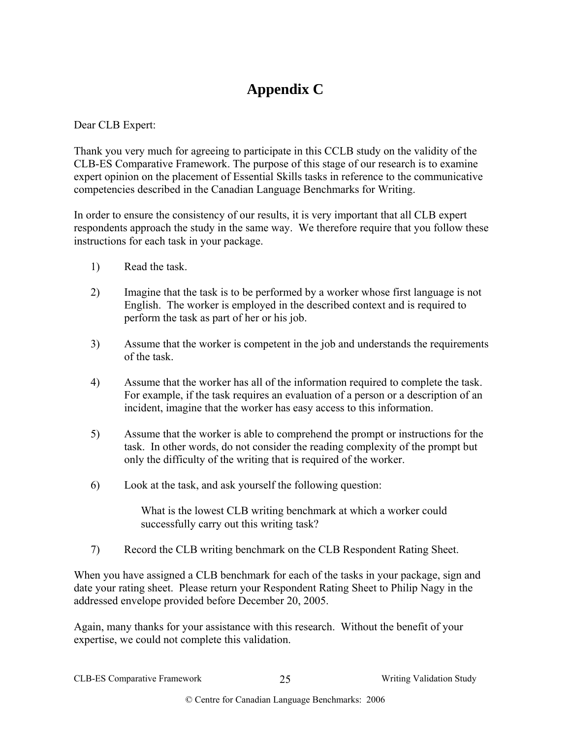# **Appendix C**

#### Dear CLB Expert:

Thank you very much for agreeing to participate in this CCLB study on the validity of the CLB-ES Comparative Framework. The purpose of this stage of our research is to examine expert opinion on the placement of Essential Skills tasks in reference to the communicative competencies described in the Canadian Language Benchmarks for Writing.

In order to ensure the consistency of our results, it is very important that all CLB expert respondents approach the study in the same way. We therefore require that you follow these instructions for each task in your package.

- 1) Read the task.
- 2) Imagine that the task is to be performed by a worker whose first language is not English. The worker is employed in the described context and is required to perform the task as part of her or his job.
- 3) Assume that the worker is competent in the job and understands the requirements of the task.
- 4) Assume that the worker has all of the information required to complete the task. For example, if the task requires an evaluation of a person or a description of an incident, imagine that the worker has easy access to this information.
- 5) Assume that the worker is able to comprehend the prompt or instructions for the task. In other words, do not consider the reading complexity of the prompt but only the difficulty of the writing that is required of the worker.
- 6) Look at the task, and ask yourself the following question:

What is the lowest CLB writing benchmark at which a worker could successfully carry out this writing task?

7) Record the CLB writing benchmark on the CLB Respondent Rating Sheet.

When you have assigned a CLB benchmark for each of the tasks in your package, sign and date your rating sheet. Please return your Respondent Rating Sheet to Philip Nagy in the addressed envelope provided before December 20, 2005.

Again, many thanks for your assistance with this research. Without the benefit of your expertise, we could not complete this validation.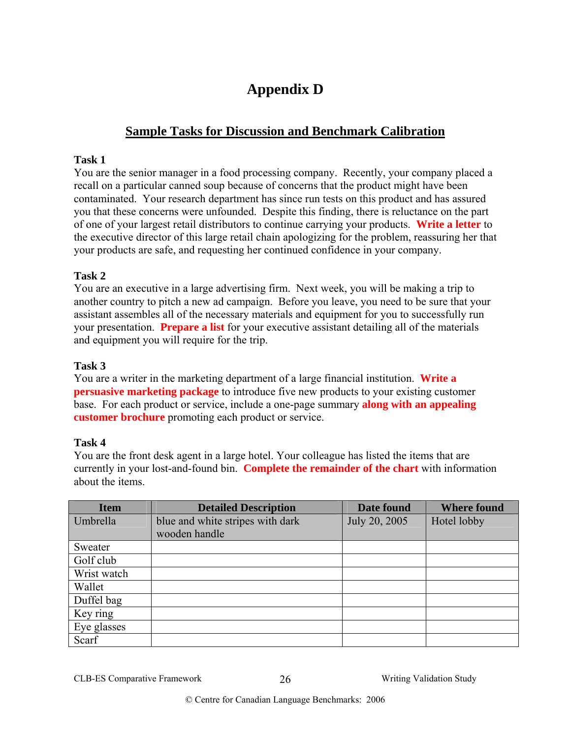# **Appendix D**

## **Sample Tasks for Discussion and Benchmark Calibration**

#### **Task 1**

You are the senior manager in a food processing company. Recently, your company placed a recall on a particular canned soup because of concerns that the product might have been contaminated. Your research department has since run tests on this product and has assured you that these concerns were unfounded. Despite this finding, there is reluctance on the part of one of your largest retail distributors to continue carrying your products. **Write a letter** to the executive director of this large retail chain apologizing for the problem, reassuring her that your products are safe, and requesting her continued confidence in your company.

#### **Task 2**

You are an executive in a large advertising firm. Next week, you will be making a trip to another country to pitch a new ad campaign. Before you leave, you need to be sure that your assistant assembles all of the necessary materials and equipment for you to successfully run your presentation. **Prepare a list** for your executive assistant detailing all of the materials and equipment you will require for the trip.

#### **Task 3**

You are a writer in the marketing department of a large financial institution. **Write a persuasive marketing package** to introduce five new products to your existing customer base. For each product or service, include a one-page summary **along with an appealing customer brochure** promoting each product or service.

#### **Task 4**

You are the front desk agent in a large hotel. Your colleague has listed the items that are currently in your lost-and-found bin. **Complete the remainder of the chart** with information about the items.

| <b>Item</b> | <b>Detailed Description</b>      | Date found    | <b>Where found</b> |
|-------------|----------------------------------|---------------|--------------------|
| Umbrella    | blue and white stripes with dark | July 20, 2005 | Hotel lobby        |
|             | wooden handle                    |               |                    |
| Sweater     |                                  |               |                    |
| Golf club   |                                  |               |                    |
| Wrist watch |                                  |               |                    |
| Wallet      |                                  |               |                    |
| Duffel bag  |                                  |               |                    |
| Key ring    |                                  |               |                    |
| Eye glasses |                                  |               |                    |
| Scarf       |                                  |               |                    |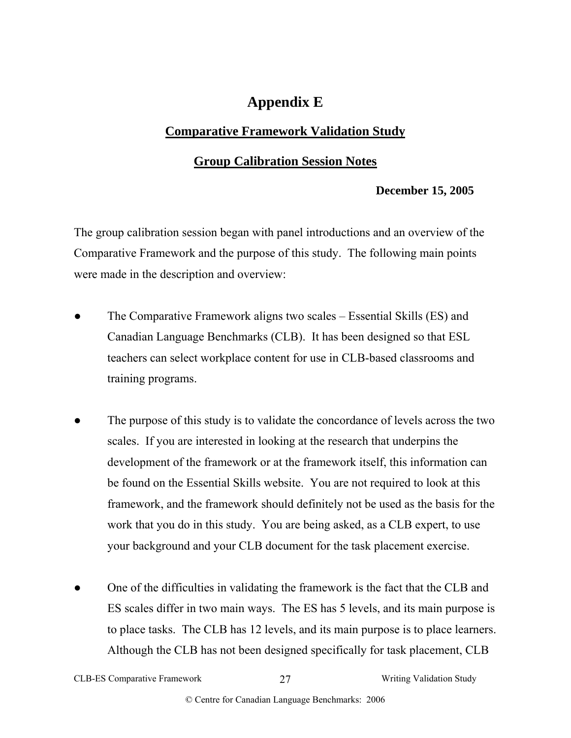# **Appendix E**

## **Comparative Framework Validation Study**

## **Group Calibration Session Notes**

### **December 15, 2005**

The group calibration session began with panel introductions and an overview of the Comparative Framework and the purpose of this study. The following main points were made in the description and overview:

- The Comparative Framework aligns two scales Essential Skills (ES) and Canadian Language Benchmarks (CLB). It has been designed so that ESL teachers can select workplace content for use in CLB-based classrooms and training programs.
- The purpose of this study is to validate the concordance of levels across the two scales. If you are interested in looking at the research that underpins the development of the framework or at the framework itself, this information can be found on the Essential Skills website. You are not required to look at this framework, and the framework should definitely not be used as the basis for the work that you do in this study. You are being asked, as a CLB expert, to use your background and your CLB document for the task placement exercise.
- One of the difficulties in validating the framework is the fact that the CLB and ES scales differ in two main ways. The ES has 5 levels, and its main purpose is to place tasks. The CLB has 12 levels, and its main purpose is to place learners. Although the CLB has not been designed specifically for task placement, CLB

CLB-ES Comparative Framework 27 2008 Writing Validation Study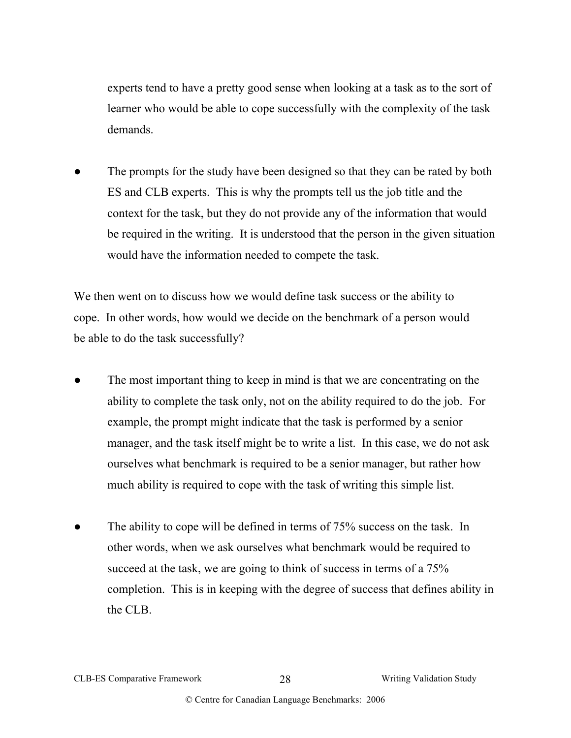experts tend to have a pretty good sense when looking at a task as to the sort of learner who would be able to cope successfully with the complexity of the task demands.

The prompts for the study have been designed so that they can be rated by both ES and CLB experts. This is why the prompts tell us the job title and the context for the task, but they do not provide any of the information that would be required in the writing. It is understood that the person in the given situation would have the information needed to compete the task.

We then went on to discuss how we would define task success or the ability to cope. In other words, how would we decide on the benchmark of a person would be able to do the task successfully?

- The most important thing to keep in mind is that we are concentrating on the ability to complete the task only, not on the ability required to do the job. For example, the prompt might indicate that the task is performed by a senior manager, and the task itself might be to write a list. In this case, we do not ask ourselves what benchmark is required to be a senior manager, but rather how much ability is required to cope with the task of writing this simple list.
- The ability to cope will be defined in terms of 75% success on the task. In other words, when we ask ourselves what benchmark would be required to succeed at the task, we are going to think of success in terms of a 75% completion. This is in keeping with the degree of success that defines ability in the CLB.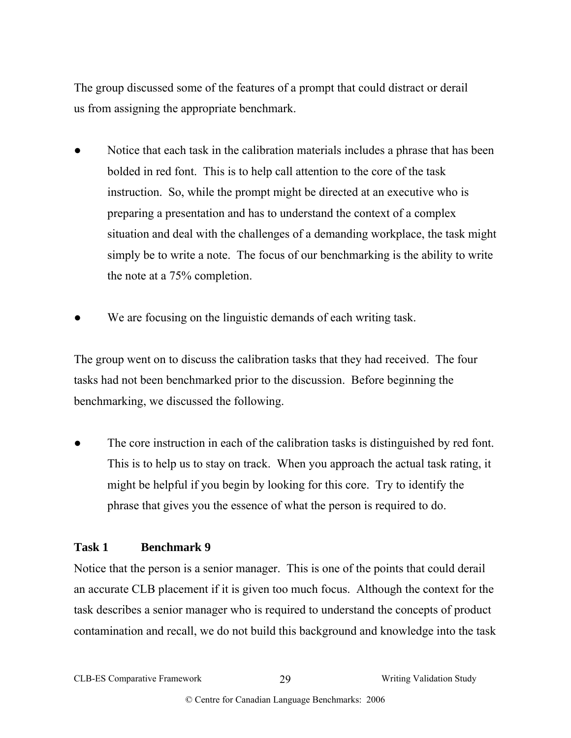The group discussed some of the features of a prompt that could distract or derail us from assigning the appropriate benchmark.

- Notice that each task in the calibration materials includes a phrase that has been bolded in red font. This is to help call attention to the core of the task instruction. So, while the prompt might be directed at an executive who is preparing a presentation and has to understand the context of a complex situation and deal with the challenges of a demanding workplace, the task might simply be to write a note. The focus of our benchmarking is the ability to write the note at a 75% completion.
- We are focusing on the linguistic demands of each writing task.

The group went on to discuss the calibration tasks that they had received. The four tasks had not been benchmarked prior to the discussion. Before beginning the benchmarking, we discussed the following.

The core instruction in each of the calibration tasks is distinguished by red font. This is to help us to stay on track. When you approach the actual task rating, it might be helpful if you begin by looking for this core. Try to identify the phrase that gives you the essence of what the person is required to do.

## **Task 1 Benchmark 9**

Notice that the person is a senior manager. This is one of the points that could derail an accurate CLB placement if it is given too much focus. Although the context for the task describes a senior manager who is required to understand the concepts of product contamination and recall, we do not build this background and knowledge into the task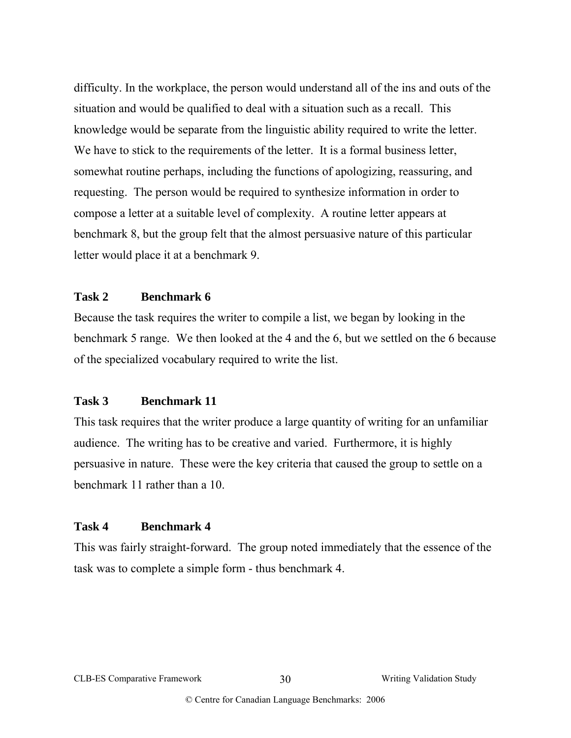difficulty. In the workplace, the person would understand all of the ins and outs of the situation and would be qualified to deal with a situation such as a recall. This knowledge would be separate from the linguistic ability required to write the letter. We have to stick to the requirements of the letter. It is a formal business letter, somewhat routine perhaps, including the functions of apologizing, reassuring, and requesting. The person would be required to synthesize information in order to compose a letter at a suitable level of complexity. A routine letter appears at benchmark 8, but the group felt that the almost persuasive nature of this particular letter would place it at a benchmark 9.

#### **Task 2 Benchmark 6**

Because the task requires the writer to compile a list, we began by looking in the benchmark 5 range. We then looked at the 4 and the 6, but we settled on the 6 because of the specialized vocabulary required to write the list.

### **Task 3 Benchmark 11**

This task requires that the writer produce a large quantity of writing for an unfamiliar audience. The writing has to be creative and varied. Furthermore, it is highly persuasive in nature. These were the key criteria that caused the group to settle on a benchmark 11 rather than a 10.

#### **Task 4 Benchmark 4**

This was fairly straight-forward. The group noted immediately that the essence of the task was to complete a simple form - thus benchmark 4.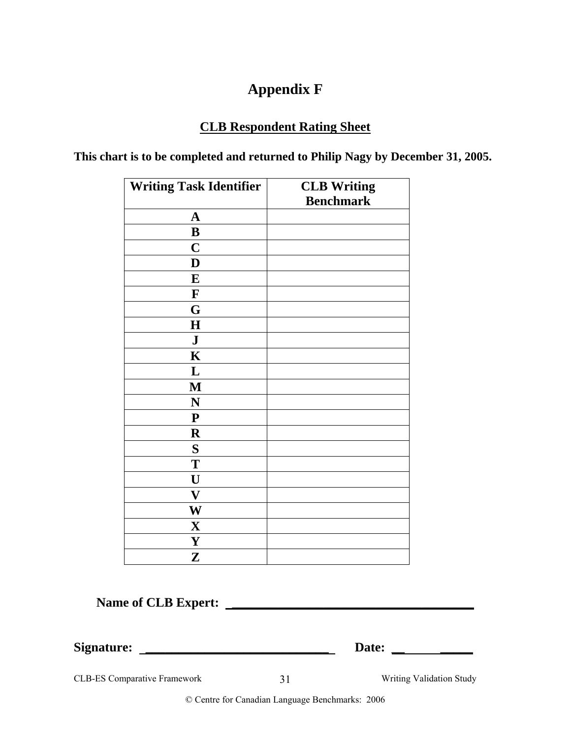# **Appendix F**

## **CLB Respondent Rating Sheet**

| <b>Writing Task Identifier</b> | <b>CLB Writing</b><br><b>Benchmark</b> |
|--------------------------------|----------------------------------------|
| $\mathbf A$                    |                                        |
| ${\bf B}$                      |                                        |
| $\mathbf C$                    |                                        |
| D                              |                                        |
| ${\bf E}$                      |                                        |
| $\mathbf{F}$                   |                                        |
| G                              |                                        |
| $\mathbf H$                    |                                        |
| ${\bf J}$                      |                                        |
| $\mathbf K$                    |                                        |
| L                              |                                        |
| $\mathbf{M}$                   |                                        |
| ${\bf N}$                      |                                        |
| ${\bf P}$                      |                                        |
| $\mathbf R$                    |                                        |
| S                              |                                        |
| T                              |                                        |
| U                              |                                        |
| $\bar{\mathbf{V}}$             |                                        |
| W                              |                                        |
| $\mathbf X$                    |                                        |
| $\mathbf Y$                    |                                        |
| ${\bf Z}$                      |                                        |

**This chart is to be completed and returned to Philip Nagy by December 31, 2005.**

**Name of CLB Expert: \_\_\_\_\_\_\_\_\_\_\_\_\_\_\_\_\_\_\_\_\_\_\_\_\_\_\_\_\_\_\_\_\_\_\_\_\_**

CLB-ES Comparative Framework 31 Writing Validation Study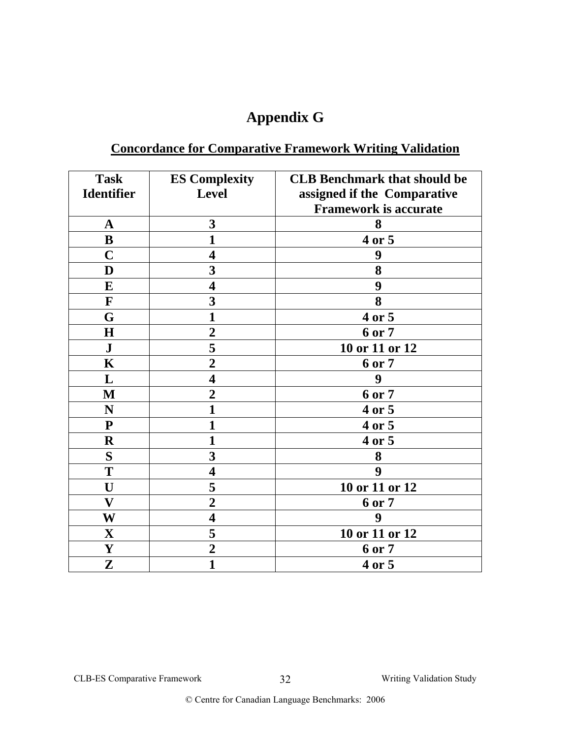# **Appendix G**

# **Concordance for Comparative Framework Writing Validation**

| <b>Task</b>       | <b>ES Complexity</b>    | <b>CLB Benchmark that should be</b> |
|-------------------|-------------------------|-------------------------------------|
| <b>Identifier</b> | <b>Level</b>            | assigned if the Comparative         |
|                   |                         | <b>Framework is accurate</b>        |
| $\mathbf A$       | 3                       | 8                                   |
| B                 | 1                       | 4 or 5                              |
| $\mathbf C$       | $\overline{\mathbf{4}}$ | 9                                   |
| D                 | 3                       | 8                                   |
| E                 | $\overline{\mathbf{4}}$ | 9                                   |
| $\mathbf F$       | 3                       | 8                                   |
| G                 | 1                       | 4 or 5                              |
| $\mathbf H$       | $\overline{2}$          | 6 or 7                              |
| ${\bf J}$         | $\overline{\mathbf{5}}$ | 10 or 11 or 12                      |
| $\mathbf K$       | $\overline{2}$          | 6 or 7                              |
| L                 | $\overline{\mathbf{4}}$ | 9                                   |
| M                 | $\overline{2}$          | 6 or 7                              |
| N                 |                         | 4 or 5                              |
| ${\bf P}$         |                         | 4 or 5                              |
| $\mathbf R$       | 1                       | 4 or 5                              |
| S                 | 3                       | 8                                   |
| T                 | $\overline{\mathbf{4}}$ | 9                                   |
| U                 | 5                       | 10 or 11 or 12                      |
| $\mathbf{V}$      | $\overline{2}$          | 6 or 7                              |
| W                 | $\overline{\mathbf{4}}$ | 9                                   |
| $\mathbf X$       | 5                       | 10 or 11 or 12                      |
| $\mathbf{Y}$      | $\overline{2}$          | 6 or 7                              |
| ${\bf Z}$         | $\mathbf{1}$            | 4 or 5                              |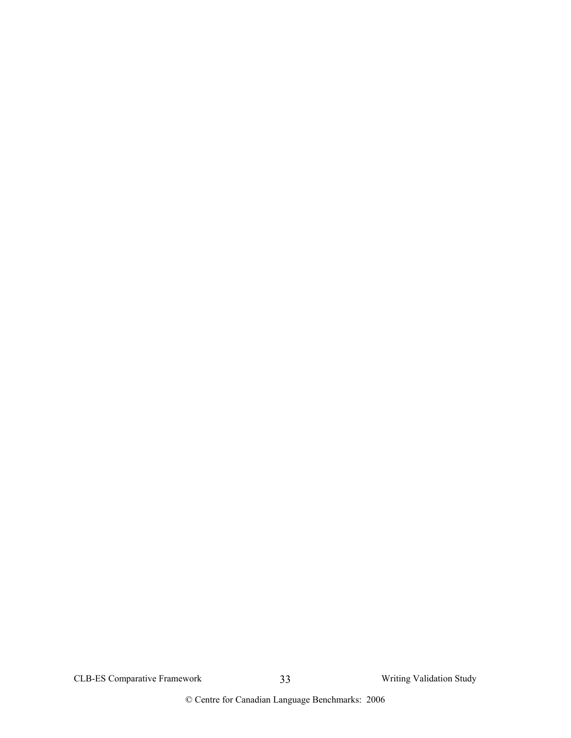CLB-ES Comparative Framework 33 Writing Validation Study